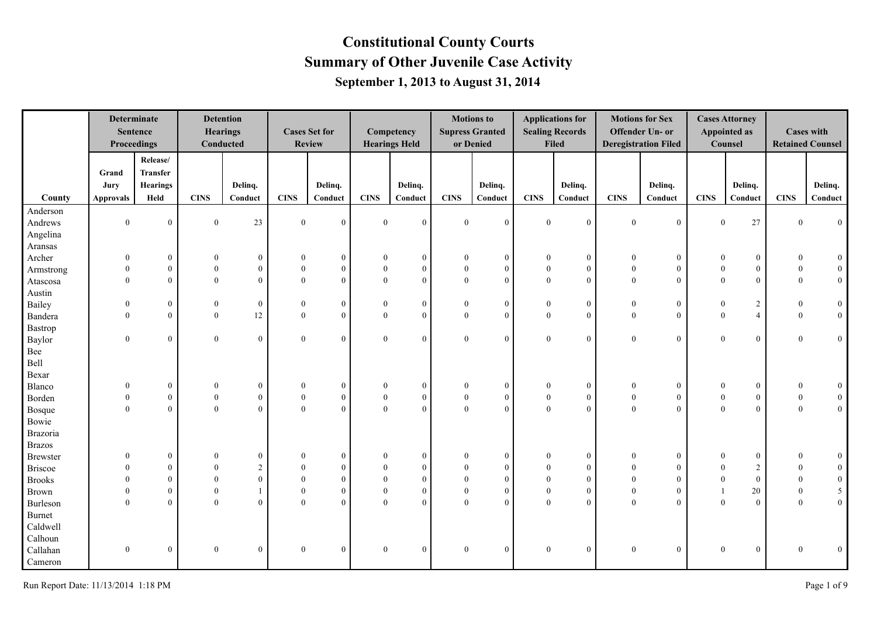|                |                  | <b>Determinate</b><br><b>Sentence</b><br>Proceedings |                  | <b>Detention</b><br><b>Hearings</b><br>Conducted |                | <b>Cases Set for</b><br><b>Review</b> |                | Competency<br><b>Hearings Held</b> |                  | <b>Motions to</b><br><b>Supress Granted</b><br>or Denied |                  | <b>Applications for</b><br><b>Sealing Records</b><br><b>Filed</b> |                  | <b>Motions for Sex</b><br>Offender Un- or<br><b>Deregistration Filed</b> |                  | <b>Cases Attorney</b><br><b>Appointed as</b><br>Counsel |                | <b>Cases with</b><br><b>Retained Counsel</b> |
|----------------|------------------|------------------------------------------------------|------------------|--------------------------------------------------|----------------|---------------------------------------|----------------|------------------------------------|------------------|----------------------------------------------------------|------------------|-------------------------------------------------------------------|------------------|--------------------------------------------------------------------------|------------------|---------------------------------------------------------|----------------|----------------------------------------------|
|                | Grand<br>Jury    | Release/<br><b>Transfer</b><br><b>Hearings</b>       |                  | Delinq.                                          |                | Delinq.                               |                | Delinq.                            |                  | Delinq.                                                  |                  | Delinq.                                                           |                  | Delinq.                                                                  |                  | Delinq.                                                 |                | Delinq.                                      |
| County         | <b>Approvals</b> | Held                                                 | <b>CINS</b>      | Conduct                                          | <b>CINS</b>    | Conduct                               | <b>CINS</b>    | Conduct                            | <b>CINS</b>      | Conduct                                                  | CINS             | Conduct                                                           | <b>CINS</b>      | Conduct                                                                  | <b>CINS</b>      | Conduct                                                 | <b>CINS</b>    | Conduct                                      |
| Anderson       |                  |                                                      |                  |                                                  |                |                                       |                |                                    |                  |                                                          |                  |                                                                   |                  |                                                                          |                  |                                                         |                |                                              |
| Andrews        | $\overline{0}$   | $\theta$                                             | $\mathbf{0}$     | 23                                               | $\overline{0}$ | $\mathbf{0}$                          | $\theta$       | $\theta$                           | $\theta$         | $\overline{0}$                                           | $\mathbf{0}$     | $\theta$                                                          | $\theta$         | $\boldsymbol{0}$                                                         | $\mathbf{0}$     | $27\,$                                                  | $\overline{0}$ | $\mathbf{0}$                                 |
| Angelina       |                  |                                                      |                  |                                                  |                |                                       |                |                                    |                  |                                                          |                  |                                                                   |                  |                                                                          |                  |                                                         |                |                                              |
| Aransas        |                  |                                                      |                  |                                                  |                |                                       |                |                                    |                  |                                                          |                  |                                                                   |                  |                                                                          |                  |                                                         |                |                                              |
| Archer         | $\boldsymbol{0}$ | $\mathbf{0}$                                         | $\boldsymbol{0}$ | $\boldsymbol{0}$                                 | $\mathbf{0}$   | $\mathbf{0}$                          | $\mathbf{0}$   | $\boldsymbol{0}$                   | $\theta$         | $\mathbf{0}$                                             | $\theta$         | $\mathbf{0}$                                                      | $\boldsymbol{0}$ | $\boldsymbol{0}$                                                         | $\mathbf{0}$     | $\boldsymbol{0}$                                        | $\theta$       | $\overline{0}$                               |
| Armstrong      |                  | $\overline{0}$                                       | $\boldsymbol{0}$ | $\boldsymbol{0}$                                 | $\theta$       | $\boldsymbol{0}$                      | $\mathbf{0}$   | $\mathbf{0}$                       | $\overline{0}$   | $\overline{0}$                                           | $\mathbf{0}$     | $\overline{0}$                                                    | $\bf{0}$         | $\boldsymbol{0}$                                                         | $\theta$         | $\mathbf{0}$                                            | $\overline{0}$ | $\overline{0}$                               |
| Atascosa       | $\theta$         | $\theta$                                             | $\theta$         | $\overline{0}$                                   | $\mathbf{0}$   | $\overline{0}$                        | $\theta$       | $\theta$                           | $\mathbf{0}$     | $\overline{0}$                                           | $\mathbf{0}$     | $\theta$                                                          | $\theta$         | $\overline{0}$                                                           | $\theta$         | $\mathbf{0}$                                            | $\overline{0}$ | $\overline{0}$                               |
| Austin         |                  |                                                      |                  |                                                  |                |                                       |                |                                    |                  |                                                          |                  |                                                                   |                  |                                                                          |                  |                                                         |                |                                              |
| Bailey         | $\theta$         | $\overline{0}$                                       | $\boldsymbol{0}$ | $\boldsymbol{0}$                                 | $\mathbf{0}$   | $\mathbf{0}$                          | $\mathbf{0}$   | $\mathbf{0}$                       | $\theta$         | $\mathbf{0}$                                             | $\mathbf{0}$     | $\boldsymbol{0}$                                                  | $\bf{0}$         | $\mathbf{0}$                                                             | $\theta$         | $\sqrt{2}$                                              | $\overline{0}$ | $\overline{0}$                               |
| Bandera        | $\overline{0}$   | $\overline{0}$                                       | $\mathbf{0}$     | 12                                               | $\overline{0}$ | $\overline{0}$                        | $\mathbf{0}$   | $\overline{0}$                     | $\mathbf{0}$     | $\overline{0}$                                           | $\mathbf{0}$     | $\mathbf{0}$                                                      | $\mathbf{0}$     | $\mathbf{0}$                                                             | $\theta$         | $\overline{4}$                                          | $\overline{0}$ | $\overline{0}$                               |
| Bastrop        |                  |                                                      |                  |                                                  |                |                                       |                |                                    |                  |                                                          |                  |                                                                   |                  |                                                                          |                  |                                                         |                |                                              |
| Baylor         | $\overline{0}$   | $\theta$                                             | $\mathbf{0}$     | $\boldsymbol{0}$                                 | $\mathbf{0}$   | $\overline{0}$                        | $\theta$       | $\theta$                           | $\mathbf{0}$     | $\overline{0}$                                           | $\mathbf{0}$     | $\mathbf{0}$                                                      | $\mathbf{0}$     | $\overline{0}$                                                           | $\mathbf{0}$     | $\mathbf{0}$                                            | $\overline{0}$ | $\overline{0}$                               |
| Bee            |                  |                                                      |                  |                                                  |                |                                       |                |                                    |                  |                                                          |                  |                                                                   |                  |                                                                          |                  |                                                         |                |                                              |
| Bell           |                  |                                                      |                  |                                                  |                |                                       |                |                                    |                  |                                                          |                  |                                                                   |                  |                                                                          |                  |                                                         |                |                                              |
| Bexar          |                  |                                                      |                  |                                                  |                |                                       |                |                                    |                  |                                                          |                  |                                                                   |                  |                                                                          |                  |                                                         |                |                                              |
| Blanco         | $\theta$         | $\overline{0}$                                       | $\boldsymbol{0}$ | $\boldsymbol{0}$                                 | $\bf{0}$       | $\mathbf{0}$                          | $\mathbf{0}$   | $\boldsymbol{0}$                   | $\boldsymbol{0}$ | $\mathbf{0}$                                             | $\boldsymbol{0}$ | $\theta$                                                          | $\mathbf{0}$     | $\boldsymbol{0}$                                                         | $\mathbf{0}$     | $\boldsymbol{0}$                                        | $\mathbf{0}$   | $\overline{0}$                               |
| Borden         | $\theta$         | $\overline{0}$                                       | $\boldsymbol{0}$ | $\overline{0}$                                   | $\mathbf{0}$   | $\mathbf{0}$                          | $\mathbf{0}$   | $\overline{0}$                     | $\boldsymbol{0}$ | $\overline{0}$                                           | $\boldsymbol{0}$ | $\mathbf{0}$                                                      | $\boldsymbol{0}$ | $\boldsymbol{0}$                                                         | $\boldsymbol{0}$ | $\mathbf{0}$                                            | $\overline{0}$ | $\overline{0}$                               |
| Bosque         | $\Omega$         | $\overline{0}$                                       | $\theta$         | $\overline{0}$                                   | $\overline{0}$ | $\overline{0}$                        | $\theta$       | $\overline{0}$                     | $\mathbf{0}$     | $\overline{0}$                                           | $\boldsymbol{0}$ | $\theta$                                                          | $\theta$         | $\overline{0}$                                                           | $\theta$         | $\mathbf{0}$                                            | $\mathbf{0}$   | $\overline{0}$                               |
| Bowie          |                  |                                                      |                  |                                                  |                |                                       |                |                                    |                  |                                                          |                  |                                                                   |                  |                                                                          |                  |                                                         |                |                                              |
| Brazoria       |                  |                                                      |                  |                                                  |                |                                       |                |                                    |                  |                                                          |                  |                                                                   |                  |                                                                          |                  |                                                         |                |                                              |
| <b>Brazos</b>  |                  |                                                      |                  |                                                  |                |                                       |                |                                    |                  |                                                          |                  |                                                                   |                  |                                                                          |                  |                                                         |                |                                              |
| Brewster       |                  | $\overline{0}$                                       | $\Omega$         | $\mathbf{0}$                                     | $\Omega$       | $\mathbf{0}$                          | $\Omega$       | $\overline{0}$                     | $\Omega$         | $\overline{0}$                                           |                  | $\mathbf{0}$                                                      | $\Omega$         | $\mathbf{0}$                                                             | $\Omega$         | $\mathbf{0}$                                            | $\overline{0}$ | $\overline{0}$                               |
| <b>Briscoe</b> |                  | $\overline{0}$                                       | $\Omega$         | $\overline{c}$                                   | $\Omega$       | $\mathbf{0}$                          | $\Omega$       | $\mathbf{0}$                       | $\theta$         | $\mathbf{0}$                                             | $\Omega$         | $\mathbf{0}$                                                      |                  | $\mathbf{0}$                                                             | $\Omega$         | $\sqrt{2}$                                              | $\Omega$       | $\mathbf{0}$                                 |
| <b>Brooks</b>  |                  | $\theta$                                             | $\theta$         | $\boldsymbol{0}$                                 | $\theta$       | $\mathbf{0}$                          | $\theta$       | $\mathbf{0}$                       | $\mathbf{0}$     | $\overline{0}$                                           | $\theta$         | $\theta$                                                          | $\theta$         | $\boldsymbol{0}$                                                         | $\theta$         | $\mathbf{0}$                                            | $\theta$       | $\boldsymbol{0}$                             |
| Brown          | $\Omega$         | $\theta$                                             | $\theta$         |                                                  | $\theta$       | $\overline{0}$                        | $\theta$       | $\overline{0}$                     | $\mathbf{0}$     | $\overline{0}$                                           | $\mathbf{0}$     | $\Omega$                                                          | $\theta$         | $\overline{0}$                                                           |                  | 20                                                      | $\overline{0}$ | 5                                            |
| Burleson       | $\Omega$         | $\Omega$                                             | $\theta$         | $\overline{0}$                                   | $\overline{0}$ | $\overline{0}$                        | $\theta$       | $\mathbf{0}$                       | $\theta$         | $\theta$                                                 | $\mathbf{0}$     | $\Omega$                                                          | $\theta$         | $\overline{0}$                                                           | $\theta$         | $\theta$                                                | $\theta$       | $\boldsymbol{0}$                             |
| Burnet         |                  |                                                      |                  |                                                  |                |                                       |                |                                    |                  |                                                          |                  |                                                                   |                  |                                                                          |                  |                                                         |                |                                              |
| Caldwell       |                  |                                                      |                  |                                                  |                |                                       |                |                                    |                  |                                                          |                  |                                                                   |                  |                                                                          |                  |                                                         |                |                                              |
| Calhoun        |                  |                                                      |                  |                                                  |                |                                       |                |                                    |                  |                                                          |                  |                                                                   |                  |                                                                          |                  |                                                         |                |                                              |
|                | $\theta$         | $\overline{0}$                                       | $\boldsymbol{0}$ | $\boldsymbol{0}$                                 | $\mathbf{0}$   | $\mathbf{0}$                          | $\overline{0}$ | $\overline{0}$                     | $\Omega$         | $\overline{0}$                                           | $\mathbf{0}$     | $\mathbf{0}$                                                      | $\overline{0}$   | $\mathbf{0}$                                                             | $\mathbf{0}$     | $\mathbf{0}$                                            | $\Omega$       |                                              |
| Callahan       |                  |                                                      |                  |                                                  |                |                                       |                |                                    |                  |                                                          |                  |                                                                   |                  |                                                                          |                  |                                                         |                | $\mathbf{0}$                                 |
| Cameron        |                  |                                                      |                  |                                                  |                |                                       |                |                                    |                  |                                                          |                  |                                                                   |                  |                                                                          |                  |                                                         |                |                                              |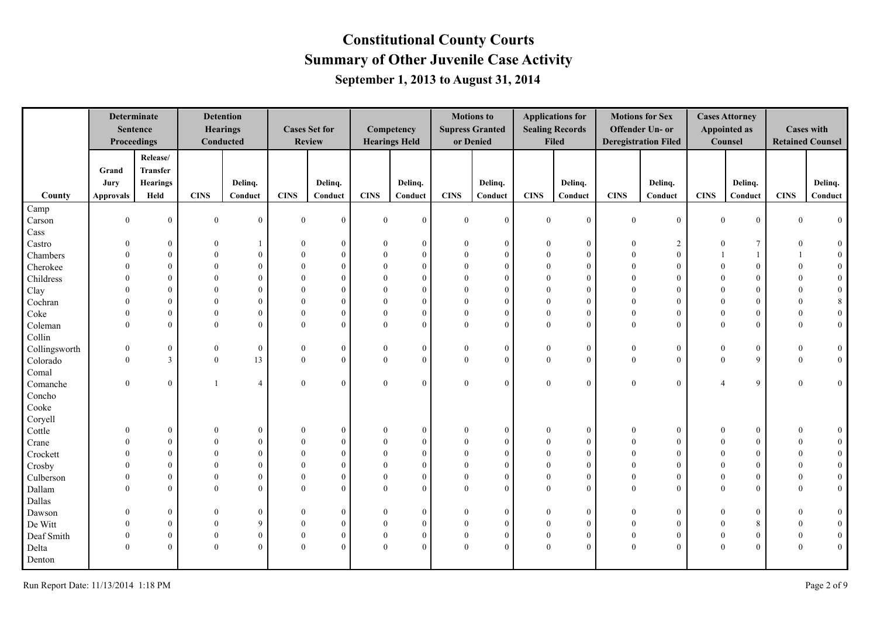|               | Proceedings      | <b>Determinate</b><br><b>Sentence</b> |                  | <b>Detention</b><br><b>Hearings</b><br>Conducted |                | <b>Cases Set for</b><br><b>Review</b> |              | Competency<br><b>Hearings Held</b> |                | <b>Motions to</b><br><b>Supress Granted</b><br>or Denied |                  | <b>Applications for</b><br><b>Sealing Records</b><br>Filed |                | <b>Motions for Sex</b><br>Offender Un- or<br><b>Deregistration Filed</b> |                         | <b>Cases Attorney</b><br><b>Appointed as</b><br>Counsel |                  | <b>Cases with</b><br><b>Retained Counsel</b> |
|---------------|------------------|---------------------------------------|------------------|--------------------------------------------------|----------------|---------------------------------------|--------------|------------------------------------|----------------|----------------------------------------------------------|------------------|------------------------------------------------------------|----------------|--------------------------------------------------------------------------|-------------------------|---------------------------------------------------------|------------------|----------------------------------------------|
|               |                  | Release/                              |                  |                                                  |                |                                       |              |                                    |                |                                                          |                  |                                                            |                |                                                                          |                         |                                                         |                  |                                              |
|               | Grand            | Transfer                              |                  |                                                  |                |                                       |              |                                    |                |                                                          |                  |                                                            |                |                                                                          |                         |                                                         |                  |                                              |
|               | Jury             | <b>Hearings</b>                       |                  | Delinq.                                          |                | Delinq.                               |              | Delinq.                            |                | Delinq.                                                  |                  | Delinq.                                                    |                | Delinq.                                                                  |                         | Delinq.                                                 |                  | Delinq.                                      |
| County        | <b>Approvals</b> | Held                                  | <b>CINS</b>      | Conduct                                          | <b>CINS</b>    | Conduct                               | <b>CINS</b>  | Conduct                            | <b>CINS</b>    | Conduct                                                  | <b>CINS</b>      | Conduct                                                    | <b>CINS</b>    | Conduct                                                                  | <b>CINS</b>             | Conduct                                                 | <b>CINS</b>      | Conduct                                      |
| Camp          |                  |                                       |                  |                                                  |                |                                       |              |                                    |                |                                                          |                  |                                                            |                |                                                                          |                         |                                                         |                  |                                              |
| Carson        | $\mathbf{0}$     | $\overline{0}$                        | $\mathbf{0}$     | $\overline{0}$                                   | $\overline{0}$ | $\theta$                              | $\mathbf{0}$ | $\overline{0}$                     | $\mathbf{0}$   | $\mathbf{0}$                                             | $\mathbf{0}$     | $\theta$                                                   | $\mathbf{0}$   | $\mathbf{0}$                                                             | $\overline{0}$          | $\overline{0}$                                          | $\theta$         | $\overline{0}$                               |
| Cass          |                  |                                       |                  |                                                  |                |                                       |              |                                    |                |                                                          |                  |                                                            |                |                                                                          |                         |                                                         |                  |                                              |
| Castro        | $\Omega$         | $\boldsymbol{0}$                      | $\theta$         | -1                                               |                | $\Omega$                              | $\mathbf{0}$ | $\boldsymbol{0}$                   | $\theta$       | $\boldsymbol{0}$                                         | $\overline{0}$   | $\overline{0}$                                             | $\mathbf{0}$   | $\overline{c}$                                                           | $\bf{0}$                | $7\phantom{.0}$                                         | 0                | $\bf{0}$                                     |
| Chambers      |                  | $\overline{0}$                        | $\theta$         | $\boldsymbol{0}$                                 |                | $\mathbf{0}$                          | $\theta$     | $\overline{0}$                     | $\theta$       | $\mathbf{0}$                                             | $\theta$         | $\theta$                                                   | $\Omega$       | $\mathbf{0}$                                                             |                         |                                                         |                  | $\boldsymbol{0}$                             |
| Cherokee      |                  | $\theta$                              | $\Omega$         | $\theta$                                         |                | $\Omega$                              | $\Omega$     | $\overline{0}$                     | $\theta$       | $\mathbf{0}$                                             | $\theta$         | $\theta$                                                   |                | $\theta$                                                                 |                         | $\overline{0}$                                          | $\theta$         | $\boldsymbol{0}$                             |
| Childress     |                  | $\Omega$                              | $\Omega$         | $\theta$                                         |                | $\Omega$                              | $\Omega$     | $\overline{0}$                     | $\Omega$       | $\theta$                                                 | $\theta$         | $\theta$                                                   |                | $\theta$                                                                 |                         | $\theta$                                                | $\Omega$         | $\boldsymbol{0}$                             |
| Clay          |                  | $\Omega$                              | $\Omega$         | $\theta$                                         |                | $\Omega$                              | $\Omega$     | $\overline{0}$                     | $\Omega$       | $\mathbf{0}$                                             | $\theta$         | $\theta$                                                   |                | $\theta$                                                                 | $\Omega$                | $\overline{0}$                                          | $\theta$         | $\boldsymbol{0}$                             |
| Cochran       |                  | $\Omega$                              | $\Omega$         | $\Omega$                                         |                | $\Omega$                              | $\Omega$     | $\overline{0}$                     | $\Omega$       | $\mathbf{0}$                                             | $\Omega$         | $\Omega$                                                   | $\Omega$       | $\theta$                                                                 | $\Omega$                | $\theta$                                                | $\Omega$         | $\,8\,$                                      |
| Coke          | $\Omega$         | $\theta$                              | $\Omega$         | $\theta$                                         |                | $\Omega$                              | $\theta$     | $\overline{0}$                     | $\overline{0}$ | $\mathbf{0}$                                             | $\theta$         | $\theta$                                                   | $\Omega$       | $\overline{0}$                                                           | $\theta$                | $\overline{0}$                                          | $\mathbf{0}$     | $\boldsymbol{0}$                             |
| Coleman       | $\Omega$         | $\theta$                              | $\Omega$         | $\overline{0}$                                   | $\Omega$       | $\Omega$                              | $\Omega$     | $\overline{0}$                     | $\overline{0}$ | $\mathbf{0}$                                             | $\theta$         | $\theta$                                                   | $\theta$       | $\theta$                                                                 | $\Omega$                | $\theta$                                                | $\theta$         | $\boldsymbol{0}$                             |
| Collin        |                  |                                       |                  |                                                  |                |                                       |              |                                    |                |                                                          |                  |                                                            |                |                                                                          |                         |                                                         |                  |                                              |
| Collingsworth | $\theta$         | $\mathbf{0}$                          | $\boldsymbol{0}$ | $\mathbf{0}$                                     | $\theta$       | $\mathbf{0}$                          | $\theta$     | $\overline{0}$                     | $\mathbf{0}$   | $\mathbf{0}$                                             | $\bf{0}$         | $\overline{0}$                                             | $\overline{0}$ | $\mathbf{0}$                                                             | $\overline{0}$          | $\boldsymbol{0}$                                        | $\boldsymbol{0}$ | $\bf{0}$                                     |
| Colorado      | $\mathbf{0}$     | $\mathbf{3}$                          | $\mathbf{0}$     | 13                                               | $\overline{0}$ | $\theta$                              | $\mathbf{0}$ | $\overline{0}$                     | $\overline{0}$ | $\mathbf{0}$                                             | $\boldsymbol{0}$ | $\overline{0}$                                             | $\mathbf{0}$   | $\overline{0}$                                                           | $\overline{0}$          | 9                                                       | $\mathbf{0}$     | $\mathbf{0}$                                 |
| Comal         |                  |                                       |                  |                                                  |                |                                       |              |                                    |                |                                                          |                  |                                                            |                |                                                                          |                         |                                                         |                  |                                              |
| Comanche      | $\theta$         | $\overline{0}$                        | $\mathbf{1}$     | $\overline{4}$                                   | $\theta$       | $\theta$                              | $\mathbf{0}$ | $\boldsymbol{0}$                   | $\overline{0}$ | $\mathbf{0}$                                             | $\mathbf{0}$     | $\theta$                                                   | $\mathbf{0}$   | $\overline{0}$                                                           | $\overline{\mathbf{A}}$ | 9                                                       | $\mathbf{0}$     | $\boldsymbol{0}$                             |
| Concho        |                  |                                       |                  |                                                  |                |                                       |              |                                    |                |                                                          |                  |                                                            |                |                                                                          |                         |                                                         |                  |                                              |
| Cooke         |                  |                                       |                  |                                                  |                |                                       |              |                                    |                |                                                          |                  |                                                            |                |                                                                          |                         |                                                         |                  |                                              |
| Coryell       |                  |                                       |                  |                                                  |                |                                       |              |                                    |                |                                                          |                  |                                                            |                |                                                                          |                         |                                                         |                  |                                              |
| Cottle        | $\theta$         | $\mathbf{0}$                          | $\theta$         | $\mathbf{0}$                                     | $\Omega$       | $\overline{0}$                        | $\theta$     | $\overline{0}$                     | $\theta$       | $\mathbf{0}$                                             | $\theta$         | $\overline{0}$                                             | $\theta$       | $\mathbf{0}$                                                             | $\theta$                | $\boldsymbol{0}$                                        | $\mathbf{0}$     | $\boldsymbol{0}$                             |
| Crane         |                  | $\overline{0}$                        | $\theta$         | $\boldsymbol{0}$                                 |                | $\theta$                              | $\theta$     | $\overline{0}$                     | $\theta$       | $\mathbf{0}$                                             | $\theta$         | $\overline{0}$                                             | $\Omega$       | $\mathbf{0}$                                                             | 0                       | $\boldsymbol{0}$                                        | $\Omega$         | $\boldsymbol{0}$                             |
| Crockett      |                  | $\theta$                              | $\Omega$         | $\overline{0}$                                   |                | $\theta$                              | $\Omega$     | $\overline{0}$                     | $\overline{0}$ | $\mathbf{0}$                                             | $\theta$         | $\theta$                                                   | 0              | $\theta$                                                                 | 0                       | $\overline{0}$                                          | 0                | $\mathbf{0}$                                 |
| Crosby        |                  | $\theta$                              | $\Omega$         | $\overline{0}$                                   |                | $\theta$                              | $\Omega$     | $\overline{0}$                     | $\overline{0}$ | $\mathbf{0}$                                             | $\theta$         | $\theta$                                                   |                | $\theta$                                                                 | $\Omega$                | $\overline{0}$                                          | $\Omega$         | $\boldsymbol{0}$                             |
| Culberson     |                  | $\mathbf{0}$                          | $\Omega$         | $\boldsymbol{0}$                                 |                | $\Omega$                              | $\theta$     | $\overline{0}$                     | $\overline{0}$ | $\mathbf{0}$                                             | $\theta$         | $\theta$                                                   | $\Omega$       | $\overline{0}$                                                           | $\theta$                | $\overline{0}$                                          | $\mathbf{0}$     | $\boldsymbol{0}$                             |
| Dallam        | $\Omega$         | $\mathbf{0}$                          | $\Omega$         | $\overline{0}$                                   | $\Omega$       | $\Omega$                              | $\theta$     | $\overline{0}$                     | $\overline{0}$ | $\theta$                                                 | $\mathbf{0}$     | $\theta$                                                   | 0              | $\overline{0}$                                                           | 0                       | $\overline{0}$                                          | $\mathbf{0}$     | $\boldsymbol{0}$                             |
| Dallas        |                  |                                       |                  |                                                  |                |                                       |              |                                    |                |                                                          |                  |                                                            |                |                                                                          |                         |                                                         |                  |                                              |
| Dawson        | $\Omega$         | $\mathbf{0}$                          | $\Omega$         | $\overline{0}$                                   |                | $\theta$                              | $\theta$     | $\overline{0}$                     | $\overline{0}$ | $\mathbf{0}$                                             | $\theta$         | $\theta$                                                   | $\Omega$       | $\overline{0}$                                                           | $\theta$                | $\mathbf{0}$                                            | $\overline{0}$   | $\boldsymbol{0}$                             |
| De Witt       |                  | $\theta$                              | $\Omega$         | 9                                                |                | $\theta$                              | $\theta$     | $\overline{0}$                     | $\mathbf{0}$   | $\mathbf{0}$                                             | $\Omega$         | $\theta$                                                   | $\Omega$       | $\overline{0}$                                                           | $\theta$                | 8                                                       | $\mathbf{0}$     | $\boldsymbol{0}$                             |
| Deaf Smith    | $\Omega$         | $\mathbf{0}$                          | $\mathbf{0}$     | $\overline{0}$                                   | $\Omega$       | $\theta$                              | $\mathbf{0}$ | $\overline{0}$                     | $\bf{0}$       | $\mathbf{0}$                                             | $\mathbf{0}$     | $\theta$                                                   | $\theta$       | $\mathbf{0}$                                                             | $\overline{0}$          | $\boldsymbol{0}$                                        | $\mathbf{0}$     | $\boldsymbol{0}$                             |
| Delta         | $\theta$         | $\theta$                              | $\Omega$         | $\overline{0}$                                   | $\Omega$       | $\Omega$                              | $\theta$     | $\overline{0}$                     | $\overline{0}$ | $\theta$                                                 | $\theta$         | $\Omega$                                                   | $\theta$       | $\overline{0}$                                                           | $\theta$                | $\theta$                                                | $\mathbf{0}$     | $\overline{0}$                               |
| Denton        |                  |                                       |                  |                                                  |                |                                       |              |                                    |                |                                                          |                  |                                                            |                |                                                                          |                         |                                                         |                  |                                              |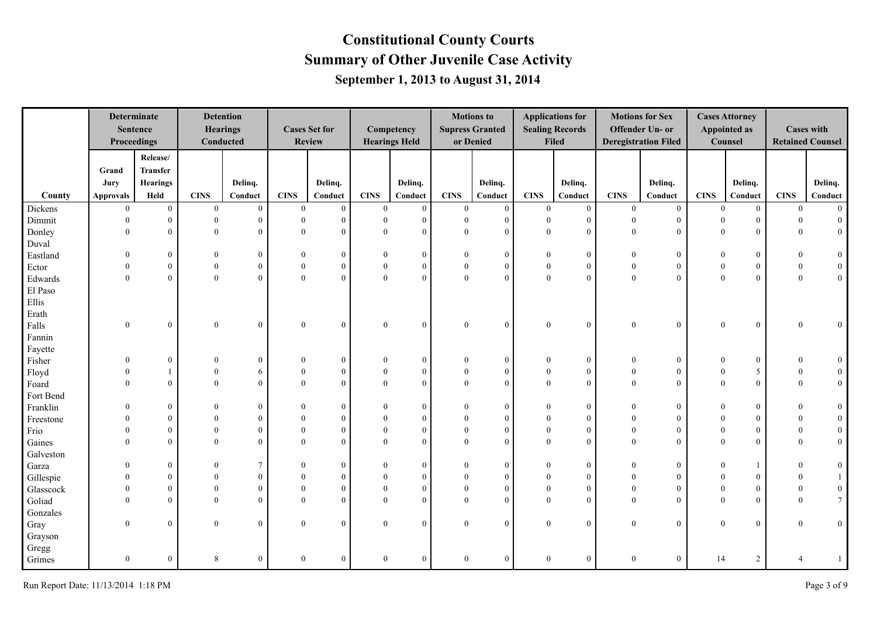|           | <b>Determinate</b><br>Proceedings | <b>Sentence</b>  |                  | <b>Detention</b><br><b>Hearings</b><br>Conducted |                | <b>Cases Set for</b><br><b>Review</b> |                | Competency<br><b>Hearings Held</b> |                  | <b>Motions to</b><br><b>Supress Granted</b><br>or Denied |                | <b>Applications for</b><br><b>Sealing Records</b><br>Filed |                | <b>Motions for Sex</b><br>Offender Un- or<br><b>Deregistration Filed</b> |                | <b>Cases Attorney</b><br>Appointed as<br>Counsel |                  | <b>Cases with</b><br><b>Retained Counsel</b> |
|-----------|-----------------------------------|------------------|------------------|--------------------------------------------------|----------------|---------------------------------------|----------------|------------------------------------|------------------|----------------------------------------------------------|----------------|------------------------------------------------------------|----------------|--------------------------------------------------------------------------|----------------|--------------------------------------------------|------------------|----------------------------------------------|
|           |                                   | Release/         |                  |                                                  |                |                                       |                |                                    |                  |                                                          |                |                                                            |                |                                                                          |                |                                                  |                  |                                              |
|           | Grand                             | <b>Transfer</b>  |                  |                                                  |                |                                       |                |                                    |                  |                                                          |                |                                                            |                |                                                                          |                |                                                  |                  |                                              |
|           | Jury                              | <b>Hearings</b>  |                  | Delinq.                                          |                | Delinq.                               |                | Delinq.                            |                  | Delinq.                                                  |                | Delinq.                                                    |                | Delinq.                                                                  |                | Delinq.                                          |                  | Delinq.                                      |
| County    | <b>Approvals</b>                  | Held             | <b>CINS</b>      | Conduct                                          | <b>CINS</b>    | Conduct                               | <b>CINS</b>    | Conduct                            | <b>CINS</b>      | Conduct                                                  | <b>CINS</b>    | Conduct                                                    | <b>CINS</b>    | Conduct                                                                  | <b>CINS</b>    | Conduct                                          | <b>CINS</b>      | Conduct                                      |
| Dickens   | $\theta$                          | $\mathbf{0}$     | $\mathbf{0}$     | $\mathbf{0}$                                     | $\overline{0}$ | $\boldsymbol{0}$                      | $\overline{0}$ | $\mathbf{0}$                       | $\overline{0}$   | $\overline{0}$                                           | $\mathbf{0}$   | $\overline{0}$                                             | $\overline{0}$ | $\overline{0}$                                                           | $\overline{0}$ | $\overline{0}$                                   | $\overline{0}$   | $\overline{0}$                               |
| Dimmit    | $\theta$                          | $\overline{0}$   | $\theta$         | $\mathbf{0}$                                     | $\theta$       | $\theta$                              | $\mathbf{0}$   | $\overline{0}$                     | $\mathbf{0}$     | $\mathbf{0}$                                             | $\theta$       | $\overline{0}$                                             | $\overline{0}$ | $\overline{0}$                                                           | $\theta$       | $\theta$                                         | $\Omega$         | $\boldsymbol{0}$                             |
| Donley    | $\theta$                          | $\overline{0}$   | $\mathbf{0}$     | $\mathbf{0}$                                     | $\overline{0}$ | $\mathbf{0}$                          | $\mathbf{0}$   | $\overline{0}$                     | $\overline{0}$   | $\mathbf{0}$                                             | $\mathbf{0}$   | $\overline{0}$                                             | $\overline{0}$ | $\overline{0}$                                                           | $\overline{0}$ | $\mathbf{0}$                                     | $\overline{0}$   | $\mathbf{0}$                                 |
| Duval     |                                   |                  |                  |                                                  |                |                                       |                |                                    |                  |                                                          |                |                                                            |                |                                                                          |                |                                                  |                  |                                              |
| Eastland  |                                   | $\mathbf{0}$     | $\overline{0}$   | $\mathbf{0}$                                     | $\Omega$       | $\bf{0}$                              | $\theta$       | $\overline{0}$                     | $\theta$         | $\boldsymbol{0}$                                         |                | $\overline{0}$                                             | $\theta$       | $\boldsymbol{0}$                                                         |                | $\overline{0}$                                   |                  | $\mathbf{0}$                                 |
| Ector     | $\theta$                          | $\mathbf{0}$     | $\boldsymbol{0}$ | $\boldsymbol{0}$                                 | $\overline{0}$ | $\mathbf{0}$                          | $\theta$       | $\mathbf{0}$                       | $\boldsymbol{0}$ | $\mathbf{0}$                                             | $\overline{0}$ | $\mathbf{0}$                                               | $\mathbf{0}$   | $\boldsymbol{0}$                                                         | $\theta$       | $\overline{0}$                                   | $\boldsymbol{0}$ | $\mathbf{0}$                                 |
| Edwards   | $\Omega$                          | $\mathbf{0}$     | $\mathbf{0}$     | $\mathbf{0}$                                     | $\overline{0}$ | $\mathbf{0}$                          | $\mathbf{0}$   | $\overline{0}$                     | $\boldsymbol{0}$ | $\mathbf{0}$                                             | $\mathbf{0}$   | $\overline{0}$                                             | $\theta$       | $\overline{0}$                                                           | $\mathbf{0}$   | $\mathbf{0}$                                     | $\mathbf{0}$     | $\overline{0}$                               |
| El Paso   |                                   |                  |                  |                                                  |                |                                       |                |                                    |                  |                                                          |                |                                                            |                |                                                                          |                |                                                  |                  |                                              |
| Ellis     |                                   |                  |                  |                                                  |                |                                       |                |                                    |                  |                                                          |                |                                                            |                |                                                                          |                |                                                  |                  |                                              |
| Erath     |                                   |                  |                  |                                                  |                |                                       |                |                                    |                  |                                                          |                |                                                            |                |                                                                          |                |                                                  |                  |                                              |
| Falls     | $\mathbf{0}$                      | $\mathbf{0}$     | $\mathbf{0}$     | $\boldsymbol{0}$                                 | $\overline{0}$ | $\overline{0}$                        | $\theta$       | $\boldsymbol{0}$                   | $\mathbf{0}$     | $\bf{0}$                                                 | $\theta$       | $\overline{0}$                                             | $\mathbf{0}$   | $\overline{0}$                                                           | $\theta$       | $\mathbf{0}$                                     | $\Omega$         | $\overline{0}$                               |
| Fannin    |                                   |                  |                  |                                                  |                |                                       |                |                                    |                  |                                                          |                |                                                            |                |                                                                          |                |                                                  |                  |                                              |
| Fayette   |                                   |                  |                  |                                                  |                |                                       |                |                                    |                  |                                                          |                |                                                            |                |                                                                          |                |                                                  |                  |                                              |
| Fisher    |                                   | $\mathbf{0}$     | $\theta$         | $\mathbf{0}$                                     |                | $\overline{0}$                        |                | $\overline{0}$                     | $\theta$         | $\theta$                                                 |                | $\overline{0}$                                             |                | $\boldsymbol{0}$                                                         |                | $\mathbf{0}$                                     |                  | $\overline{0}$                               |
| Floyd     |                                   | 1                | $\Omega$         | 6                                                |                | $\overline{0}$                        | $\Omega$       | $\overline{0}$                     | $\theta$         | $\overline{0}$                                           |                | $\overline{0}$                                             | $\theta$       | $\theta$                                                                 |                | 5                                                |                  | $\mathbf{0}$                                 |
| Foard     |                                   | $\overline{0}$   | $\Omega$         | $\theta$                                         | $\Omega$       | $\Omega$                              | $\Omega$       | $\overline{0}$                     | $\theta$         | $\mathbf{0}$                                             | $\theta$       | $\overline{0}$                                             | $\Omega$       | $\theta$                                                                 | $\Omega$       | $\theta$                                         | $\Omega$         | $\overline{0}$                               |
| Fort Bend |                                   |                  |                  |                                                  |                |                                       |                |                                    |                  |                                                          |                |                                                            |                |                                                                          |                |                                                  |                  |                                              |
| Franklin  |                                   | $\mathbf{0}$     | $\theta$         | $\mathbf{0}$                                     | 0              | $\overline{0}$                        | $\Omega$       | $\overline{0}$                     | $\theta$         | $\mathbf{0}$                                             | $\Omega$       | $\overline{0}$                                             | $\Omega$       | $\overline{0}$                                                           | $\Omega$       | $\mathbf{0}$                                     | $\Omega$         | $\mathbf{0}$                                 |
| Freestone |                                   | $\mathbf{0}$     | $\theta$         | $\mathbf{0}$                                     |                | $\theta$                              | $\Omega$       | $\overline{0}$                     | $\mathbf{0}$     | $\mathbf{0}$                                             | $\Omega$       | $\theta$                                                   | $\Omega$       | $\theta$                                                                 | $\Omega$       | $\overline{0}$                                   |                  | $\mathbf{0}$                                 |
| Frio      | $\Omega$                          | $\overline{0}$   | $\theta$         | $\mathbf{0}$                                     | 0              | $\theta$                              | $\Omega$       | $\overline{0}$                     | $\mathbf{0}$     | $\mathbf{0}$                                             | $\Omega$       | $\theta$                                                   | $\Omega$       | $\theta$                                                                 | $\Omega$       | $\overline{0}$                                   | $\Omega$         | $\overline{0}$                               |
| Gaines    | $\Omega$                          | $\overline{0}$   | $\theta$         | $\theta$                                         | $\theta$       | $\theta$                              | $\Omega$       | $\overline{0}$                     | $\theta$         | $\theta$                                                 | $\theta$       | $\overline{0}$                                             | $\Omega$       | $\theta$                                                                 | $\Omega$       | $\theta$                                         | $\theta$         | $\mathbf{0}$                                 |
| Galveston |                                   |                  |                  |                                                  |                |                                       |                |                                    |                  |                                                          |                |                                                            |                |                                                                          |                |                                                  |                  |                                              |
| Garza     |                                   | $\boldsymbol{0}$ | $\theta$         | $7\phantom{.0}$                                  |                | $\overline{0}$                        | $\theta$       | $\mathbf{0}$                       |                  | $\theta$                                                 |                | $\overline{0}$                                             |                | $\mathbf{0}$                                                             |                |                                                  |                  | $\mathbf{0}$                                 |
| Gillespie |                                   | $\overline{0}$   | $\Omega$         | $\Omega$                                         |                | $\theta$                              | $\Omega$       | $\overline{0}$                     |                  | $\theta$                                                 |                | $\theta$                                                   |                | $\Omega$                                                                 |                | $\theta$                                         |                  | $\mathbf{1}$                                 |
| Glasscock |                                   | $\Omega$         | $\Omega$         | $\theta$                                         |                | $\theta$                              | $\theta$       | $\overline{0}$                     | $\mathbf{0}$     | $\mathbf{0}$                                             | $\theta$       | $\theta$                                                   | $\Omega$       | $\theta$                                                                 |                | $\theta$                                         |                  | $\mathbf{0}$                                 |
| Goliad    |                                   | $\Omega$         | $\Omega$         | $\theta$                                         |                | $\theta$                              |                | $\overline{0}$                     | $\Omega$         | $\theta$                                                 | $\Omega$       | $\theta$                                                   |                | $\Omega$                                                                 |                | $\theta$                                         |                  | $\overline{7}$                               |
| Gonzales  |                                   |                  |                  |                                                  |                |                                       |                |                                    |                  |                                                          |                |                                                            |                |                                                                          |                |                                                  |                  |                                              |
| Gray      | $\Omega$                          | $\theta$         | $\theta$         | $\mathbf{0}$                                     | $\theta$       | $\theta$                              | $\Omega$       | $\overline{0}$                     | $\theta$         | $\mathbf{0}$                                             | $\Omega$       | $\theta$                                                   | $\mathbf{0}$   | $\overline{0}$                                                           | $\theta$       | $\overline{0}$                                   | $\Omega$         | $\overline{0}$                               |
| Grayson   |                                   |                  |                  |                                                  |                |                                       |                |                                    |                  |                                                          |                |                                                            |                |                                                                          |                |                                                  |                  |                                              |
| Gregg     |                                   |                  |                  |                                                  |                |                                       |                |                                    |                  |                                                          |                |                                                            |                |                                                                          |                |                                                  |                  |                                              |
| Grimes    | $\mathbf{0}$                      | $\mathbf{0}$     | 8                | $\boldsymbol{0}$                                 | $\mathbf{0}$   | $\mathbf{0}$                          | $\mathbf{0}$   | $\overline{0}$                     | $\boldsymbol{0}$ | $\mathbf{0}$                                             | $\mathbf{0}$   | $\overline{0}$                                             | $\mathbf{0}$   | $\overline{0}$                                                           | 14             | 2                                                |                  | 1                                            |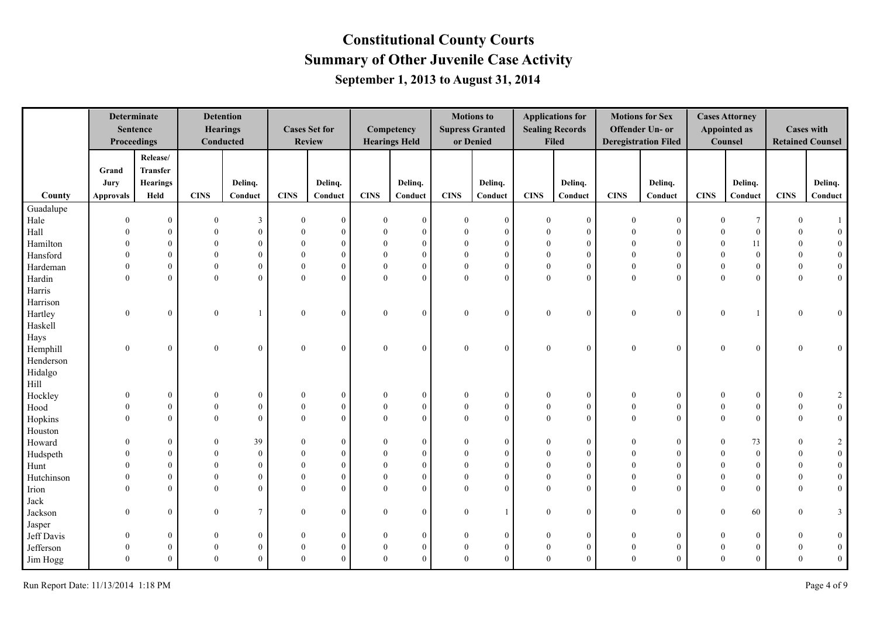|            | <b>Determinate</b><br>Proceedings | <b>Sentence</b>  |              | <b>Detention</b><br><b>Hearings</b><br>Conducted |             | <b>Cases Set for</b><br><b>Review</b> |              | Competency<br><b>Hearings Held</b> |              | <b>Motions to</b><br><b>Supress Granted</b><br>or Denied |              | <b>Applications for</b><br><b>Sealing Records</b><br><b>Filed</b> |              | <b>Motions for Sex</b><br><b>Offender Un- or</b><br><b>Deregistration Filed</b> |                | <b>Cases Attorney</b><br><b>Appointed as</b><br>Counsel |                  | <b>Cases with</b><br><b>Retained Counsel</b> |
|------------|-----------------------------------|------------------|--------------|--------------------------------------------------|-------------|---------------------------------------|--------------|------------------------------------|--------------|----------------------------------------------------------|--------------|-------------------------------------------------------------------|--------------|---------------------------------------------------------------------------------|----------------|---------------------------------------------------------|------------------|----------------------------------------------|
|            |                                   | $\bf{Re}$        |              |                                                  |             |                                       |              |                                    |              |                                                          |              |                                                                   |              |                                                                                 |                |                                                         |                  |                                              |
|            | Grand                             | <b>Transfer</b>  |              |                                                  |             |                                       |              |                                    |              |                                                          |              |                                                                   |              |                                                                                 |                |                                                         |                  |                                              |
|            | Jury                              | Hearings         |              | Delinq.                                          |             | Delinq.                               |              | Delinq.                            |              | Delinq.                                                  |              | Delinq.                                                           |              | Delinq.                                                                         |                | Delinq.                                                 |                  | Delinq.                                      |
| County     | <b>Approvals</b>                  | Held             | <b>CINS</b>  | Conduct                                          | <b>CINS</b> | Conduct                               | <b>CINS</b>  | Conduct                            | <b>CINS</b>  | Conduct                                                  | <b>CINS</b>  | Conduct                                                           | <b>CINS</b>  | Conduct                                                                         | <b>CINS</b>    | Conduct                                                 | <b>CINS</b>      | Conduct                                      |
| Guadalupe  |                                   |                  |              |                                                  |             |                                       |              |                                    |              |                                                          |              |                                                                   |              |                                                                                 |                |                                                         |                  |                                              |
| Hale       | $\theta$                          | $\mathbf{0}$     | $\theta$     | $\mathbf{3}$                                     | $\Omega$    | $\mathbf{0}$                          | $\theta$     | $\overline{0}$                     | $\Omega$     | $\mathbf{0}$                                             | $\theta$     | $\theta$                                                          | $\theta$     | $\overline{0}$                                                                  | $\Omega$       | $7\phantom{.0}$                                         | $\Omega$         |                                              |
| Hall       | $\Omega$                          | $\mathbf{0}$     | $\Omega$     | $\overline{0}$                                   |             | $\mathbf{0}$                          | $\mathbf{0}$ | $\overline{0}$                     | $\Omega$     | $\mathbf{0}$                                             | $\theta$     | $\theta$                                                          | $\Omega$     | $\overline{0}$                                                                  |                | $\mathbf{0}$                                            | 0                | $\overline{0}$                               |
| Hamilton   | $\Omega$                          | $\mathbf{0}$     | $\Omega$     | $\mathbf{0}$                                     |             | $\mathbf{0}$                          | $\theta$     | $\mathbf{0}$                       | $\Omega$     | $\mathbf{0}$                                             | $\theta$     | $\theta$                                                          |              | $\overline{0}$                                                                  |                | 11                                                      | $\theta$         | $\overline{0}$                               |
| Hansford   |                                   | $\mathbf{0}$     | $\theta$     | $\boldsymbol{0}$                                 |             | $\mathbf{0}$                          | $\theta$     | $\mathbf{0}$                       | $\theta$     | $\overline{0}$                                           | $\theta$     | $\overline{0}$                                                    | $\Omega$     | $\overline{0}$                                                                  |                | $\bf{0}$                                                | $\overline{0}$   | $\mathbf{0}$                                 |
| Hardeman   | $\Omega$                          | $\mathbf{0}$     | $\theta$     | $\mathbf{0}$                                     |             | $\theta$                              | $\theta$     | $\overline{0}$                     | $\theta$     | $\overline{0}$                                           | $\mathbf{0}$ | $\theta$                                                          | $\Omega$     | $\overline{0}$                                                                  |                | $\mathbf{0}$                                            | $\mathbf{0}$     | $\overline{0}$                               |
| Hardin     | $\theta$                          | $\theta$         | $\Omega$     | $\overline{0}$                                   | $\Omega$    | $\Omega$                              | $\mathbf{0}$ | $\overline{0}$                     | $\Omega$     | $\theta$                                                 | $\mathbf{0}$ | $\theta$                                                          | $\Omega$     | $\overline{0}$                                                                  | $\theta$       | $\mathbf{0}$                                            | $\mathbf{0}$     | $\mathbf{0}$                                 |
| Harris     |                                   |                  |              |                                                  |             |                                       |              |                                    |              |                                                          |              |                                                                   |              |                                                                                 |                |                                                         |                  |                                              |
| Harrison   |                                   |                  |              |                                                  |             |                                       |              |                                    |              |                                                          |              |                                                                   |              |                                                                                 |                |                                                         |                  |                                              |
| Hartley    | $\mathbf{0}$                      | $\mathbf{0}$     | $\theta$     | $\mathbf{1}$                                     | $\theta$    | $\Omega$                              | $\mathbf{0}$ | $\mathbf{0}$                       | $\theta$     | $\mathbf{0}$                                             | $\mathbf{0}$ | $\overline{0}$                                                    | $\mathbf{0}$ | $\overline{0}$                                                                  | $\overline{0}$ |                                                         | $\Omega$         | $\overline{0}$                               |
| Haskell    |                                   |                  |              |                                                  |             |                                       |              |                                    |              |                                                          |              |                                                                   |              |                                                                                 |                |                                                         |                  |                                              |
| Hays       |                                   |                  |              |                                                  |             |                                       |              |                                    |              |                                                          |              |                                                                   |              |                                                                                 |                |                                                         |                  |                                              |
| Hemphill   | $\mathbf{0}$                      | $\mathbf{0}$     | $\mathbf{0}$ | $\mathbf{0}$                                     | $\theta$    | $\theta$                              | $\mathbf{0}$ | $\mathbf{0}$                       | $\theta$     | $\overline{0}$                                           | $\bf{0}$     | $\mathbf{0}$                                                      | $\bf{0}$     | $\overline{0}$                                                                  | $\theta$       | $\mathbf{0}$                                            | $\Omega$         | $\mathbf{0}$                                 |
| Henderson  |                                   |                  |              |                                                  |             |                                       |              |                                    |              |                                                          |              |                                                                   |              |                                                                                 |                |                                                         |                  |                                              |
| Hidalgo    |                                   |                  |              |                                                  |             |                                       |              |                                    |              |                                                          |              |                                                                   |              |                                                                                 |                |                                                         |                  |                                              |
| Hill       |                                   |                  |              |                                                  |             |                                       |              |                                    |              |                                                          |              |                                                                   |              |                                                                                 |                |                                                         |                  |                                              |
| Hockley    | $\Omega$                          | $\mathbf{0}$     | $\Omega$     | $\mathbf{0}$                                     |             | $\Omega$                              | $\bf{0}$     | $\boldsymbol{0}$                   | $\theta$     | $\boldsymbol{0}$                                         | $\mathbf{0}$ | $\overline{0}$                                                    | $\Omega$     | $\boldsymbol{0}$                                                                | $\Omega$       | $\mathbf{0}$                                            | $\theta$         | $\overline{2}$                               |
| Hood       | $\Omega$                          | $\boldsymbol{0}$ | $\theta$     | $\mathbf{0}$                                     | $\Omega$    | $\boldsymbol{0}$                      | $\bf{0}$     | $\mathbf{0}$                       | $\mathbf{0}$ | $\boldsymbol{0}$                                         | $\bf{0}$     | $\overline{0}$                                                    | $\Omega$     | $\boldsymbol{0}$                                                                | $\theta$       | $\mathbf{0}$                                            | $\overline{0}$   | $\boldsymbol{0}$                             |
| Hopkins    | $\theta$                          | $\theta$         | $\theta$     | $\theta$                                         | $\Omega$    | $\Omega$                              | $\theta$     | $\theta$                           | $\theta$     | $\theta$                                                 | $\theta$     | $\theta$                                                          | $\Omega$     | $\overline{0}$                                                                  | $\Omega$       | $\theta$                                                | $\theta$         | $\overline{0}$                               |
| Houston    |                                   |                  |              |                                                  |             |                                       |              |                                    |              |                                                          |              |                                                                   |              |                                                                                 |                |                                                         |                  |                                              |
| Howard     | $\theta$                          | $\overline{0}$   | $\theta$     | 39                                               |             | $\mathbf{0}$                          | $\bf{0}$     | $\boldsymbol{0}$                   | $\theta$     | $\overline{0}$                                           | $\mathbf{0}$ | $\theta$                                                          | $\Omega$     | $\overline{0}$                                                                  | $\Omega$       | 73                                                      | $\theta$         | $\overline{2}$                               |
| Hudspeth   |                                   | $\mathbf{0}$     | $\theta$     | $\mathbf{0}$                                     |             | $\mathbf{0}$                          | $\theta$     | $\mathbf{0}$                       | $\theta$     | $\mathbf{0}$                                             | $\theta$     | $\theta$                                                          |              | $\mathbf{0}$                                                                    |                | $\bf{0}$                                                | $\theta$         | $\boldsymbol{0}$                             |
| Hunt       |                                   | $\theta$         | $\Omega$     | $\theta$                                         |             | $\theta$                              | $\Omega$     | $\theta$                           | $\theta$     | $\Omega$                                                 | $\theta$     | $\Omega$                                                          |              | $\overline{0}$                                                                  |                | $\overline{0}$                                          |                  | $\mathbf{0}$                                 |
| Hutchinson |                                   | $\theta$         | $\Omega$     | $\overline{0}$                                   |             | $\Omega$                              | $\theta$     | $\theta$                           | $\Omega$     | $\theta$                                                 | $\theta$     | $\Omega$                                                          |              | $\overline{0}$                                                                  |                | $\overline{0}$                                          | $\theta$         | $\mathbf{0}$                                 |
| Irion      | $\Omega$                          | $\Omega$         |              | $\theta$                                         |             | $\Omega$                              | $\Omega$     | $\Omega$                           | $\Omega$     | $\Omega$                                                 | $\Omega$     | $\Omega$                                                          |              | $\overline{0}$                                                                  |                | $\theta$                                                | $\Omega$         | $\overline{0}$                               |
| Jack       |                                   |                  |              |                                                  |             |                                       |              |                                    |              |                                                          |              |                                                                   |              |                                                                                 |                |                                                         |                  |                                              |
| Jackson    | $\theta$                          | $\mathbf{0}$     | $\theta$     | $\tau$                                           | $\Omega$    | $\Omega$                              | $\mathbf{0}$ | $\boldsymbol{0}$                   | $\theta$     |                                                          | $\mathbf{0}$ | $\overline{0}$                                                    | $\mathbf{0}$ | $\overline{0}$                                                                  | $\Omega$       | 60                                                      | $\mathbf{0}$     | $\mathbf{3}$                                 |
| Jasper     |                                   |                  |              |                                                  |             |                                       |              |                                    |              |                                                          |              |                                                                   |              |                                                                                 |                |                                                         |                  |                                              |
| Jeff Davis | $\theta$                          | $\mathbf{0}$     | $\Omega$     | $\boldsymbol{0}$                                 |             | $\Omega$                              | $\theta$     | $\mathbf{0}$                       | $\theta$     | $\theta$                                                 | $\bf{0}$     | $\theta$                                                          | $\Omega$     | $\overline{0}$                                                                  |                | $\mathbf{0}$                                            | $\theta$         | $\overline{0}$                               |
| Jefferson  | $\mathbf{0}$                      | $\mathbf{0}$     | $\theta$     | $\boldsymbol{0}$                                 |             | $\boldsymbol{0}$                      | $\theta$     | $\boldsymbol{0}$                   | $\mathbf{0}$ | $\mathbf{0}$                                             | $\bf{0}$     | $\overline{0}$                                                    | $\mathbf{0}$ | $\mathbf{0}$                                                                    |                | $\mathbf{0}$                                            | $\boldsymbol{0}$ | $\mathbf{0}$                                 |
| Jim Hogg   | $\Omega$                          | $\theta$         | $\theta$     | $\overline{0}$                                   | $\Omega$    | $\theta$                              | $\theta$     | $\mathbf{0}$                       | $\mathbf{0}$ | $\overline{0}$                                           | $\mathbf{0}$ | $\theta$                                                          | $\theta$     | $\overline{0}$                                                                  | $\Omega$       | $\mathbf{0}$                                            | $\theta$         | $\boldsymbol{0}$                             |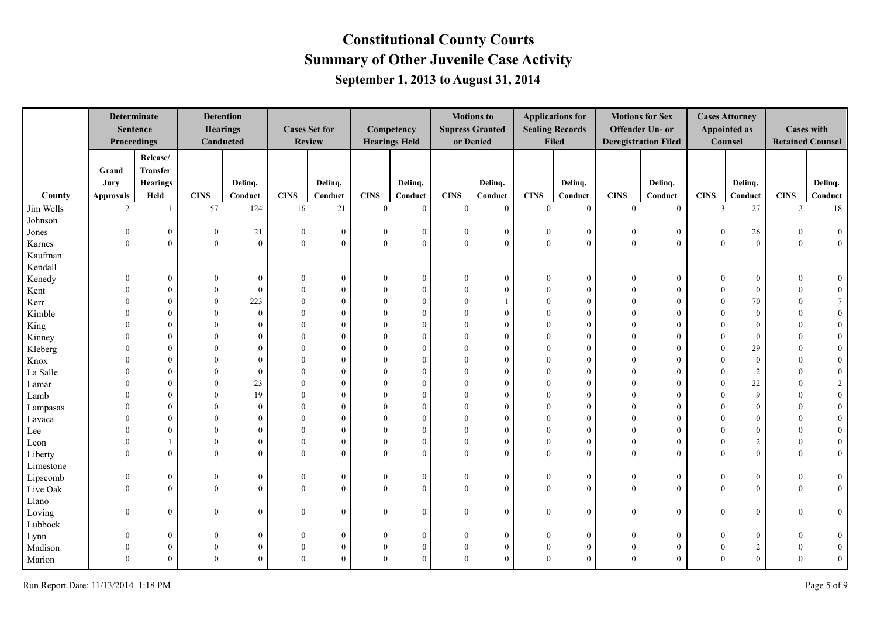|           | Determinate<br><b>Sentence</b><br>Proceedings |                  |                  | <b>Detention</b><br><b>Hearings</b><br><b>Conducted</b> |                | <b>Cases Set for</b><br><b>Review</b> |              | Competency<br><b>Hearings Held</b> |                | <b>Motions</b> to<br><b>Supress Granted</b><br>or Denied |                  | <b>Applications for</b><br><b>Sealing Records</b><br>Filed |                | <b>Motions for Sex</b><br><b>Offender Un- or</b><br><b>Deregistration Filed</b> |                | <b>Cases Attorney</b><br><b>Appointed as</b><br>Counsel |                  | <b>Cases with</b><br><b>Retained Counsel</b> |
|-----------|-----------------------------------------------|------------------|------------------|---------------------------------------------------------|----------------|---------------------------------------|--------------|------------------------------------|----------------|----------------------------------------------------------|------------------|------------------------------------------------------------|----------------|---------------------------------------------------------------------------------|----------------|---------------------------------------------------------|------------------|----------------------------------------------|
|           |                                               | Release/         |                  |                                                         |                |                                       |              |                                    |                |                                                          |                  |                                                            |                |                                                                                 |                |                                                         |                  |                                              |
|           | Grand                                         | <b>Transfer</b>  |                  |                                                         |                |                                       |              |                                    |                |                                                          |                  |                                                            |                |                                                                                 |                |                                                         |                  |                                              |
|           | Jury                                          | Hearings         |                  | Delinq.                                                 |                | Delinq.                               |              | Delinq.                            |                | Delinq.                                                  |                  | Delinq.                                                    |                | Delinq.                                                                         |                | Delinq.                                                 |                  | Delinq.                                      |
| County    | <b>Approvals</b>                              | Held             | <b>CINS</b>      | Conduct                                                 | <b>CINS</b>    | Conduct                               | <b>CINS</b>  | Conduct                            | <b>CINS</b>    | Conduct                                                  | <b>CINS</b>      | Conduct                                                    | <b>CINS</b>    | Conduct                                                                         | <b>CINS</b>    | Conduct                                                 | <b>CINS</b>      | Conduct                                      |
| Jim Wells | $\overline{2}$                                |                  | 57               | 124                                                     | 16             | 21                                    | $\theta$     | $\overline{0}$                     | $\overline{0}$ | $\mathbf{0}$                                             | $\overline{0}$   | $\overline{0}$                                             | $\overline{0}$ | $\overline{0}$                                                                  | $\overline{3}$ | 27                                                      | 2                | 18                                           |
| Johnson   |                                               |                  |                  |                                                         |                |                                       |              |                                    |                |                                                          |                  |                                                            |                |                                                                                 |                |                                                         |                  |                                              |
| Jones     | $\mathbf{0}$                                  | $\boldsymbol{0}$ | $\boldsymbol{0}$ | 21                                                      | $\overline{0}$ | $\boldsymbol{0}$                      | $\Omega$     | $\overline{0}$                     | $\theta$       | $\bf{0}$                                                 | $\bf{0}$         | $\overline{0}$                                             | $\bf{0}$       | $\boldsymbol{0}$                                                                | $\mathbf{0}$   | 26                                                      | $\theta$         | $\overline{0}$                               |
| Karnes    | $\mathbf{0}$                                  | $\boldsymbol{0}$ | $\theta$         | $\mathbf{0}$                                            | $\overline{0}$ | $\theta$                              | $\mathbf{0}$ | $\mathbf{0}$                       | $\overline{0}$ | $\theta$                                                 | $\overline{0}$   | $\theta$                                                   | $\mathbf{0}$   | $\overline{0}$                                                                  | $\mathbf{0}$   | $\mathbf{0}$                                            | $\mathbf{0}$     | $\overline{0}$                               |
| Kaufman   |                                               |                  |                  |                                                         |                |                                       |              |                                    |                |                                                          |                  |                                                            |                |                                                                                 |                |                                                         |                  |                                              |
| Kendall   |                                               |                  |                  |                                                         |                |                                       |              |                                    |                |                                                          |                  |                                                            |                |                                                                                 |                |                                                         |                  |                                              |
| Kenedy    |                                               | $\mathbf{0}$     |                  | $\Omega$                                                |                | $\theta$                              |              | $\mathbf{0}$                       |                | $\theta$                                                 |                  | $\theta$                                                   |                | $\boldsymbol{0}$                                                                |                | $\overline{0}$                                          |                  | $\mathbf{0}$                                 |
| Kent      |                                               | $\theta$         | $\Omega$         | $\Omega$                                                |                | $\Omega$                              | $\Omega$     | $\overline{0}$                     | $\theta$       | $\Omega$                                                 |                  | $\Omega$                                                   |                | $\mathbf{0}$                                                                    |                | $\mathbf{0}$                                            |                  | $\mathbf{0}$                                 |
| Kerr      |                                               | $\theta$         | $\Omega$         | 223                                                     |                | $\Omega$                              | $\Omega$     | $\overline{0}$                     | $\Omega$       |                                                          | $\Omega$         | $\Omega$                                                   |                | $\theta$                                                                        |                | 70                                                      |                  | $7\overline{ }$                              |
| Kimble    |                                               | $\theta$         |                  | $\mathbf{0}$                                            | ∩              | $\theta$                              | $\Omega$     | $\overline{0}$                     | $\Omega$       | $\theta$                                                 | $\Omega$         | $\theta$                                                   |                | $\theta$                                                                        |                | $\overline{0}$                                          | $\Omega$         | $\mathbf{0}$                                 |
| King      |                                               | $\theta$         |                  | $\Omega$                                                |                | $\Omega$                              | $\Omega$     | $\overline{0}$                     | $\Omega$       | $\Omega$                                                 | $\Omega$         |                                                            |                | $\theta$                                                                        |                | $\Omega$                                                | $\Omega$         | $\mathbf{0}$                                 |
| Kinney    |                                               | $\theta$         | $\Omega$         | $\Omega$                                                |                | $\Omega$                              | $\Omega$     | $\overline{0}$                     | $\Omega$       | $\theta$                                                 | $\Omega$         | $\Omega$                                                   |                | $\theta$                                                                        |                | $\overline{0}$                                          |                  | $\boldsymbol{0}$                             |
| Kleberg   |                                               | $\theta$         |                  | $\Omega$                                                |                | $\Omega$                              |              | $\overline{0}$                     | $\Omega$       | $\Omega$                                                 | $\Omega$         | $\Omega$                                                   |                | $\theta$                                                                        |                | 29                                                      |                  | $\overline{0}$                               |
| Knox      |                                               | $\Omega$         |                  | $\Omega$                                                |                | $\Omega$                              |              | $\overline{0}$                     | 0              | $\Omega$                                                 |                  | $\Omega$                                                   |                | $\Omega$                                                                        |                | $\overline{0}$                                          |                  | $\overline{0}$                               |
| La Salle  |                                               | $\Omega$         |                  | $\theta$                                                |                | $\Omega$                              |              | $\theta$                           |                | $\Omega$                                                 |                  |                                                            |                | $\Omega$                                                                        |                | $\overline{2}$                                          |                  | $\mathbf{0}$                                 |
| Lamar     |                                               | $\Omega$         |                  | 23                                                      |                | $\Omega$                              |              | $\theta$                           |                | $\theta$                                                 |                  | $\Omega$                                                   |                | $\theta$                                                                        |                | 22                                                      |                  | $\overline{c}$                               |
| Lamb      |                                               | $\Omega$         |                  | 19                                                      |                | $\Omega$                              |              | $\theta$                           | ∩              | $\Omega$                                                 |                  | $\Omega$                                                   |                | $\theta$                                                                        |                | $\mathbf{Q}$                                            |                  | $\mathbf{0}$                                 |
| Lampasas  |                                               | $\Omega$         | $\Omega$         | $\Omega$                                                |                | $\Omega$                              | $\Omega$     | $\theta$                           | $\Omega$       | $\theta$                                                 | $\Omega$         | $\Omega$                                                   |                | $\theta$                                                                        |                | $\theta$                                                |                  | $\mathbf{0}$                                 |
| Lavaca    |                                               | $\theta$         | $\Omega$         | $\Omega$                                                |                | $\Omega$                              | $\Omega$     | $\overline{0}$                     | $\Omega$       | $\theta$                                                 | $\Omega$         | $\Omega$                                                   |                | $\theta$                                                                        |                | $\overline{0}$                                          | $\Omega$         | $\mathbf{0}$                                 |
| Lee       | $\Omega$                                      | $\theta$         | $\Omega$         | $\Omega$                                                | 0              | $\Omega$                              | $\Omega$     | $\mathbf{0}$                       | $\Omega$       | $\mathbf{0}$                                             | $\theta$         | $\theta$                                                   |                | $\theta$                                                                        |                | $\overline{0}$                                          | $\theta$         | $\overline{0}$                               |
| Leon      | $\Omega$                                      |                  | $\Omega$         | $\Omega$                                                | 0              | $\theta$                              | $\Omega$     | $\overline{0}$                     | $\Omega$       | $\theta$                                                 | $\theta$         | $\Omega$                                                   | 0              | $\mathbf{0}$                                                                    |                | 2                                                       | $\theta$         | $\overline{0}$                               |
| Liberty   | $\Omega$                                      | $\mathbf{0}$     | $\theta$         | $\theta$                                                | $\Omega$       | $\theta$                              | $\theta$     | $\overline{0}$                     | $\theta$       | $\theta$                                                 | $\theta$         | $\theta$                                                   | $\Omega$       | $\mathbf{0}$                                                                    | $\Omega$       | $\mathbf{0}$                                            | $\mathbf{0}$     | $\overline{0}$                               |
| Limestone |                                               |                  |                  |                                                         |                |                                       |              |                                    |                |                                                          |                  |                                                            |                |                                                                                 |                |                                                         |                  |                                              |
| Lipscomb  | $\theta$                                      | $\boldsymbol{0}$ | $\Omega$         | $\theta$                                                | 0              | $\boldsymbol{0}$                      | $\theta$     | $\boldsymbol{0}$                   | $\mathbf{0}$   | $\boldsymbol{0}$                                         | $\theta$         | $\overline{0}$                                             | $\theta$       | $\boldsymbol{0}$                                                                | $\theta$       | $\mathbf{0}$                                            | $\Omega$         | $\bf{0}$                                     |
| Live Oak  | $\Omega$                                      | $\mathbf{0}$     | $\Omega$         | $\Omega$                                                | $\Omega$       | $\theta$                              | $\Omega$     | $\overline{0}$                     | $\theta$       | $\Omega$                                                 | $\theta$         | $\theta$                                                   | $\Omega$       | $\mathbf{0}$                                                                    | $\Omega$       | $\theta$                                                | $\theta$         | $\overline{0}$                               |
| Llano     |                                               |                  |                  |                                                         |                |                                       |              |                                    |                |                                                          |                  |                                                            |                |                                                                                 |                |                                                         |                  |                                              |
| Loving    | $\theta$                                      | $\mathbf{0}$     | $\mathbf{0}$     | $\mathbf{0}$                                            | $\Omega$       | $\mathbf{0}$                          | $\theta$     | $\overline{0}$                     | $\overline{0}$ | $\mathbf{0}$                                             | $\theta$         | $\overline{0}$                                             | $\theta$       | $\overline{0}$                                                                  | $\mathbf{0}$   | $\mathbf{0}$                                            | $\Omega$         | $\bf{0}$                                     |
| Lubbock   |                                               |                  |                  |                                                         |                |                                       |              |                                    |                |                                                          |                  |                                                            |                |                                                                                 |                |                                                         |                  |                                              |
| Lynn      | $\Omega$                                      | $\theta$         | $\Omega$         | $\Omega$                                                | 0              | $\Omega$                              |              | $\mathbf{0}$                       | $\theta$       | $\theta$                                                 | $\Omega$         | $\theta$                                                   | $\theta$       | $\overline{0}$                                                                  |                | $\overline{0}$                                          | $\theta$         | $\mathbf{0}$                                 |
| Madison   | $\theta$                                      | $\mathbf{0}$     | $\theta$         | $\theta$                                                | $\theta$       | $\Omega$                              | $\theta$     | $\mathbf{0}$                       | $\mathbf{0}$   | $\theta$                                                 | $\boldsymbol{0}$ | $\theta$                                                   | $\mathbf{0}$   | $\boldsymbol{0}$                                                                | 0              | 2                                                       | $\boldsymbol{0}$ | $\mathbf{0}$                                 |
| Marion    | $\theta$                                      | $\theta$         | $\theta$         | $\theta$                                                | $\Omega$       | $\Omega$                              | $\Omega$     | $\overline{0}$                     | $\overline{0}$ | $\Omega$                                                 | $\theta$         | $\theta$                                                   | $\Omega$       | $\theta$                                                                        | $\Omega$       | $\overline{0}$                                          | $\theta$         | $\overline{0}$                               |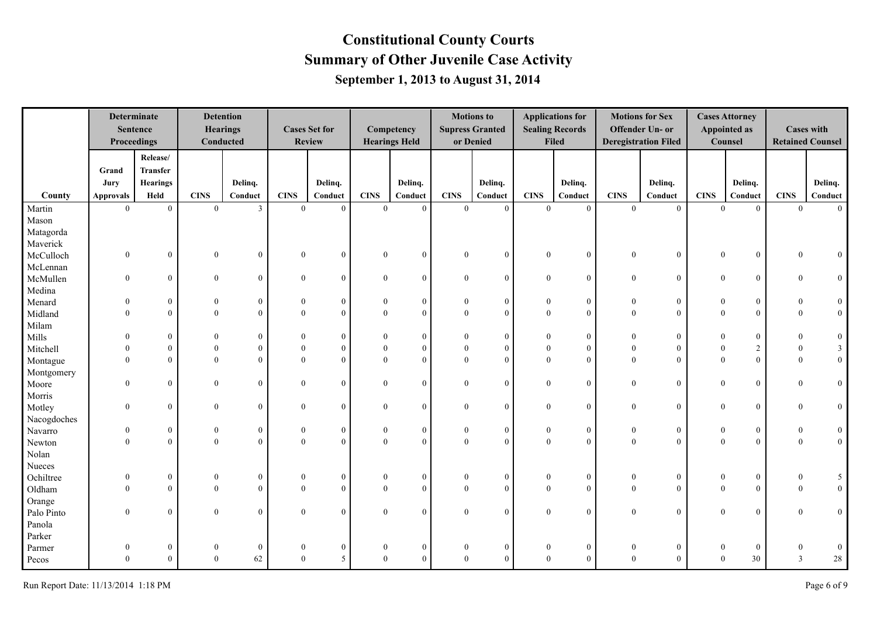|             | Determinate<br>Proceedings | <b>Sentence</b>  |                  | <b>Detention</b><br><b>Hearings</b><br>Conducted |                | <b>Cases Set for</b><br><b>Review</b> |              | Competency<br><b>Hearings Held</b> |                  | <b>Motions</b> to<br><b>Supress Granted</b><br>or Denied |                  | <b>Applications for</b><br><b>Sealing Records</b><br><b>Filed</b> |                  | <b>Motions for Sex</b><br><b>Offender Un- or</b><br><b>Deregistration Filed</b> |                  | <b>Cases Attorney</b><br><b>Appointed as</b><br>Counsel |              | <b>Cases with</b><br><b>Retained Counsel</b> |
|-------------|----------------------------|------------------|------------------|--------------------------------------------------|----------------|---------------------------------------|--------------|------------------------------------|------------------|----------------------------------------------------------|------------------|-------------------------------------------------------------------|------------------|---------------------------------------------------------------------------------|------------------|---------------------------------------------------------|--------------|----------------------------------------------|
|             |                            | Release/         |                  |                                                  |                |                                       |              |                                    |                  |                                                          |                  |                                                                   |                  |                                                                                 |                  |                                                         |              |                                              |
|             | Grand                      | <b>Transfer</b>  |                  |                                                  |                |                                       |              |                                    |                  |                                                          |                  |                                                                   |                  |                                                                                 |                  |                                                         |              |                                              |
|             | Jury                       | <b>Hearings</b>  |                  | Deling.                                          |                | Delinq.                               |              | Delinq.                            |                  | Delinq.                                                  |                  | Delinq.                                                           |                  | Delinq.                                                                         |                  | Delinq.                                                 |              | Delinq.                                      |
| County      | <b>Approvals</b>           | Held             | <b>CINS</b>      | Conduct                                          | <b>CINS</b>    | Conduct                               | <b>CINS</b>  | Conduct                            | <b>CINS</b>      | Conduct                                                  | <b>CINS</b>      | Conduct                                                           | <b>CINS</b>      | Conduct                                                                         | <b>CINS</b>      | Conduct                                                 | <b>CINS</b>  | Conduct                                      |
| Martin      | $\theta$                   | $\theta$         | $\theta$         | 3                                                | $\theta$       | $\theta$                              | $\theta$     | $\overline{0}$                     | $\theta$         | $\theta$                                                 | $\theta$         | $\overline{0}$                                                    | $\overline{0}$   | $\overline{0}$                                                                  | $\theta$         | $\theta$                                                | $\theta$     | $\theta$                                     |
| Mason       |                            |                  |                  |                                                  |                |                                       |              |                                    |                  |                                                          |                  |                                                                   |                  |                                                                                 |                  |                                                         |              |                                              |
| Matagorda   |                            |                  |                  |                                                  |                |                                       |              |                                    |                  |                                                          |                  |                                                                   |                  |                                                                                 |                  |                                                         |              |                                              |
| Maverick    |                            |                  |                  |                                                  |                |                                       |              |                                    |                  |                                                          |                  |                                                                   |                  |                                                                                 |                  |                                                         |              |                                              |
| McCulloch   | $\boldsymbol{0}$           | $\boldsymbol{0}$ | $\boldsymbol{0}$ | $\boldsymbol{0}$                                 | $\overline{0}$ | $\mathbf{0}$                          | $\bf{0}$     | $\overline{0}$                     | $\mathbf{0}$     | $\boldsymbol{0}$                                         | $\mathbf{0}$     | $\overline{0}$                                                    | $\boldsymbol{0}$ | $\boldsymbol{0}$                                                                | $\boldsymbol{0}$ | $\mathbf{0}$                                            |              | $\overline{0}$                               |
| McLennan    |                            |                  |                  |                                                  |                |                                       |              |                                    |                  |                                                          |                  |                                                                   |                  |                                                                                 |                  |                                                         |              |                                              |
| McMullen    | $\mathbf{0}$               | $\overline{0}$   | $\mathbf{0}$     | $\mathbf{0}$                                     | $\overline{0}$ | $\mathbf{0}$                          | $\mathbf{0}$ | $\overline{0}$                     | $\mathbf{0}$     | $\mathbf{0}$                                             | $\mathbf{0}$     | $\overline{0}$                                                    | $\mathbf{0}$     | $\overline{0}$                                                                  | $\mathbf{0}$     | $\mathbf{0}$                                            | $\Omega$     | $\overline{0}$                               |
| Medina      |                            |                  |                  |                                                  |                |                                       |              |                                    |                  |                                                          |                  |                                                                   |                  |                                                                                 |                  |                                                         |              |                                              |
| Menard      | $\theta$                   | $\mathbf{0}$     | $\theta$         | $\theta$                                         | 0              | $\mathbf{0}$                          | $\theta$     | $\mathbf{0}$                       | $\theta$         | $\mathbf{0}$                                             | $\theta$         | $\overline{0}$                                                    | $\theta$         | $\overline{0}$                                                                  | $\theta$         | $\overline{0}$                                          | $\Omega$     | $\overline{0}$                               |
| Midland     | $\Omega$                   | $\theta$         | $\Omega$         | $\Omega$                                         | $\Omega$       | $\theta$                              | $\theta$     | $\overline{0}$                     | $\theta$         | $\theta$                                                 | $\theta$         | $\overline{0}$                                                    | $\Omega$         | $\overline{0}$                                                                  | $\Omega$         | $\theta$                                                | $\Omega$     | $\overline{0}$                               |
| Milam       |                            |                  |                  |                                                  |                |                                       |              |                                    |                  |                                                          |                  |                                                                   |                  |                                                                                 |                  |                                                         |              |                                              |
| Mills       | $\Omega$                   | $\mathbf{0}$     | $\Omega$         | $\Omega$                                         | $\Omega$       | $\Omega$                              | $\Omega$     | $\mathbf{0}$                       | $\Omega$         | $\mathbf{0}$                                             | $\theta$         | $\theta$                                                          | $\Omega$         | $\mathbf{0}$                                                                    | $\Omega$         | $\overline{0}$                                          | $\Omega$     | $\mathbf{0}$                                 |
| Mitchell    | $\theta$                   | $\mathbf{0}$     | $\theta$         | $\theta$                                         | $\Omega$       | $\theta$                              | $\theta$     | $\boldsymbol{0}$                   | $\mathbf{0}$     | $\theta$                                                 | $\theta$         | $\theta$                                                          | $\theta$         | $\overline{0}$                                                                  | $\mathbf{0}$     | $\overline{2}$                                          | $\mathbf{0}$ | $\overline{3}$                               |
| Montague    | $\theta$                   | $\theta$         | $\theta$         | $\theta$                                         | $\theta$       | $\theta$                              | $\theta$     | $\overline{0}$                     | $\theta$         | $\theta$                                                 | $\overline{0}$   | $\overline{0}$                                                    | $\Omega$         | $\boldsymbol{0}$                                                                | $\Omega$         | $\mathbf{0}$                                            | $\theta$     | $\boldsymbol{0}$                             |
| Montgomery  |                            |                  |                  |                                                  |                |                                       |              |                                    |                  |                                                          |                  |                                                                   |                  |                                                                                 |                  |                                                         |              |                                              |
| Moore       | $\theta$                   | $\mathbf{0}$     | $\theta$         | $\mathbf{0}$                                     | $\overline{0}$ | $\theta$                              | $\theta$     | $\overline{0}$                     | $\overline{0}$   | $\mathbf{0}$                                             | $\theta$         | $\overline{0}$                                                    | $\mathbf{0}$     | $\overline{0}$                                                                  | $\theta$         | $\mathbf{0}$                                            | $\Omega$     | $\overline{0}$                               |
| Morris      |                            |                  |                  |                                                  |                |                                       |              |                                    |                  |                                                          |                  |                                                                   |                  |                                                                                 |                  |                                                         |              |                                              |
| Motley      | $\mathbf{0}$               | $\mathbf{0}$     | $\mathbf{0}$     | $\mathbf{0}$                                     | $\overline{0}$ | $\theta$                              | $\mathbf{0}$ | $\overline{0}$                     | $\overline{0}$   | $\mathbf{0}$                                             | $\mathbf{0}$     | $\overline{0}$                                                    | $\mathbf{0}$     | $\overline{0}$                                                                  | $\mathbf{0}$     | $\mathbf{0}$                                            | $\Omega$     | $\overline{0}$                               |
| Nacogdoches |                            |                  |                  |                                                  |                |                                       |              |                                    |                  |                                                          |                  |                                                                   |                  |                                                                                 |                  |                                                         |              |                                              |
| Navarro     | $\boldsymbol{0}$           | $\boldsymbol{0}$ | $\boldsymbol{0}$ | $\boldsymbol{0}$                                 | $\overline{0}$ | $\boldsymbol{0}$                      | $\theta$     | $\overline{0}$                     | $\mathbf{0}$     | $\boldsymbol{0}$                                         | $\boldsymbol{0}$ | $\overline{0}$                                                    | $\boldsymbol{0}$ | $\bf{0}$                                                                        | $\boldsymbol{0}$ | $\boldsymbol{0}$                                        | $\bf{0}$     | $\mathbf{0}$                                 |
| Newton      | $\theta$                   | $\theta$         | $\Omega$         | $\theta$                                         | $\Omega$       | $\theta$                              | $\Omega$     | $\boldsymbol{0}$                   | $\theta$         | $\theta$                                                 | $\theta$         | $\theta$                                                          | $\theta$         | $\overline{0}$                                                                  | $\theta$         | $\theta$                                                | $\Omega$     | $\overline{0}$                               |
| Nolan       |                            |                  |                  |                                                  |                |                                       |              |                                    |                  |                                                          |                  |                                                                   |                  |                                                                                 |                  |                                                         |              |                                              |
| Nueces      |                            |                  |                  |                                                  |                |                                       |              |                                    |                  |                                                          |                  |                                                                   |                  |                                                                                 |                  |                                                         |              |                                              |
| Ochiltree   | $\theta$                   | $\mathbf{0}$     | $\boldsymbol{0}$ | $\boldsymbol{0}$                                 | $\overline{0}$ | $\boldsymbol{0}$                      | $\theta$     | $\overline{0}$                     | $\mathbf{0}$     | $\boldsymbol{0}$                                         | $\bf{0}$         | $\overline{0}$                                                    | $\boldsymbol{0}$ | $\boldsymbol{0}$                                                                | $\theta$         | $\bf{0}$                                                | $\theta$     | 5                                            |
| Oldham      | $\theta$                   | $\theta$         | $\theta$         | $\mathbf{0}$                                     | $\theta$       | $\theta$                              | $\theta$     | $\overline{0}$                     | $\boldsymbol{0}$ | $\mathbf{0}$                                             | $\theta$         | $\theta$                                                          | $\mathbf{0}$     | $\mathbf{0}$                                                                    | $\theta$         | $\mathbf{0}$                                            | $\mathbf{0}$ | $\overline{0}$                               |
| Orange      |                            |                  |                  |                                                  |                |                                       |              |                                    |                  |                                                          |                  |                                                                   |                  |                                                                                 |                  |                                                         |              |                                              |
| Palo Pinto  | $\mathbf{0}$               | $\mathbf{0}$     | $\mathbf{0}$     | $\mathbf{0}$                                     | $\overline{0}$ | $\theta$                              | $\theta$     | $\overline{0}$                     | $\overline{0}$   | $\mathbf{0}$                                             | $\mathbf{0}$     | $\overline{0}$                                                    | $\mathbf{0}$     | $\overline{0}$                                                                  | $\mathbf{0}$     | $\mathbf{0}$                                            | $\Omega$     | $\overline{0}$                               |
| Panola      |                            |                  |                  |                                                  |                |                                       |              |                                    |                  |                                                          |                  |                                                                   |                  |                                                                                 |                  |                                                         |              |                                              |
| Parker      |                            |                  |                  |                                                  |                |                                       |              |                                    |                  |                                                          |                  |                                                                   |                  |                                                                                 |                  |                                                         |              |                                              |
| Parmer      | $\theta$                   | $\boldsymbol{0}$ | $\boldsymbol{0}$ | $\mathbf{0}$                                     | $\mathbf{0}$   | $\overline{0}$                        | $\theta$     | $\boldsymbol{0}$                   | $\mathbf{0}$     | $\boldsymbol{0}$                                         | $\boldsymbol{0}$ | $\overline{0}$                                                    | $\bf{0}$         | $\overline{0}$                                                                  | $\mathbf{0}$     | $\mathbf{0}$                                            | 0            | $\overline{0}$                               |
| Pecos       | $\theta$                   | $\theta$         | $\Omega$         | 62                                               | $\Omega$       | 5                                     | $\Omega$     | $\overline{0}$                     | $\theta$         | $\Omega$                                                 | $\theta$         | $\theta$                                                          | $\Omega$         | $\overline{0}$                                                                  | $\Omega$         | 30                                                      | 3            | 28                                           |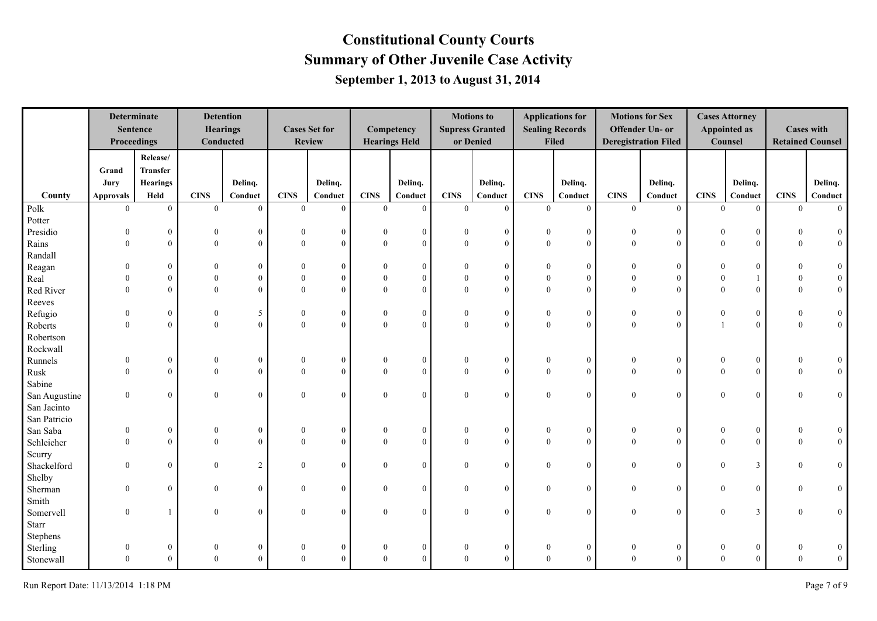|               | <b>Determinate</b><br>Proceedings | <b>Sentence</b>  | <b>Detention</b> | <b>Hearings</b><br>Conducted |                | <b>Cases Set for</b><br><b>Review</b> |                  | Competency<br><b>Hearings Held</b> |                  | <b>Motions to</b><br><b>Supress Granted</b><br>or Denied |                  | <b>Applications for</b><br><b>Sealing Records</b><br><b>Filed</b> |                  | <b>Motions for Sex</b><br>Offender Un- or<br><b>Deregistration Filed</b> |                | <b>Cases Attorney</b><br><b>Appointed as</b><br>Counsel |                | <b>Cases with</b><br><b>Retained Counsel</b> |
|---------------|-----------------------------------|------------------|------------------|------------------------------|----------------|---------------------------------------|------------------|------------------------------------|------------------|----------------------------------------------------------|------------------|-------------------------------------------------------------------|------------------|--------------------------------------------------------------------------|----------------|---------------------------------------------------------|----------------|----------------------------------------------|
|               |                                   | Release/         |                  |                              |                |                                       |                  |                                    |                  |                                                          |                  |                                                                   |                  |                                                                          |                |                                                         |                |                                              |
|               | Grand                             | Transfer         |                  |                              |                |                                       |                  |                                    |                  |                                                          |                  |                                                                   |                  |                                                                          |                |                                                         |                |                                              |
|               | Jury                              | <b>Hearings</b>  |                  | Delinq.                      |                | Delinq.                               |                  | Delinq.                            |                  | Delinq.                                                  |                  | Delinq.                                                           |                  | Delinq.                                                                  |                | Delinq.                                                 |                | Delinq.                                      |
| County        | <b>Approvals</b>                  | Held             | <b>CINS</b>      | Conduct                      | <b>CINS</b>    | Conduct                               | <b>CINS</b>      | Conduct                            | <b>CINS</b>      | Conduct                                                  | <b>CINS</b>      | Conduct                                                           | <b>CINS</b>      | Conduct                                                                  | <b>CINS</b>    | Conduct                                                 | <b>CINS</b>    | Conduct                                      |
| Polk          | $\mathbf{0}$                      | $\mathbf{0}$     | $\overline{0}$   | $\mathbf{0}$                 | $\overline{0}$ | $\overline{0}$                        | $\overline{0}$   | $\overline{0}$                     | $\mathbf{0}$     | $\overline{0}$                                           | $\overline{0}$   | $\overline{0}$                                                    | $\overline{0}$   | $\mathbf{0}$                                                             | $\overline{0}$ | $\mathbf{0}$                                            | $\overline{0}$ | $\overline{0}$                               |
| Potter        |                                   |                  |                  |                              |                |                                       |                  |                                    |                  |                                                          |                  |                                                                   |                  |                                                                          |                |                                                         |                |                                              |
| Presidio      | $\mathbf{0}$                      | $\boldsymbol{0}$ | $\boldsymbol{0}$ | $\boldsymbol{0}$             | $\Omega$       | $\overline{0}$                        | $\bf{0}$         | $\boldsymbol{0}$                   | $\theta$         | $\mathbf{0}$                                             | $\bf{0}$         | $\overline{0}$                                                    | $\boldsymbol{0}$ | $\boldsymbol{0}$                                                         | $\mathbf{0}$   | $\mathbf{0}$                                            | $\Omega$       | $\overline{0}$                               |
| Rains         | $\overline{0}$                    | $\mathbf{0}$     | $\mathbf{0}$     | $\mathbf{0}$                 | $\overline{0}$ | $\Omega$                              | $\mathbf{0}$     | $\overline{0}$                     | $\theta$         | $\mathbf{0}$                                             | $\mathbf{0}$     | $\theta$                                                          | $\overline{0}$   | $\overline{0}$                                                           | $\overline{0}$ | $\boldsymbol{0}$                                        | $\mathbf{0}$   | $\mathbf{0}$                                 |
| Randall       |                                   |                  |                  |                              |                |                                       |                  |                                    |                  |                                                          |                  |                                                                   |                  |                                                                          |                |                                                         |                |                                              |
| Reagan        | $\Omega$                          | $\theta$         | $\Omega$         | $\theta$                     |                | $\Omega$                              | $\theta$         | $\theta$                           |                  | $\theta$                                                 | $\theta$         | $\theta$                                                          |                  | $\mathbf{0}$                                                             |                | $\boldsymbol{0}$                                        |                | $\mathbf{0}$                                 |
| Real          | $\Omega$                          | $\theta$         | $\Omega$         | $\mathbf{0}$                 |                | $\Omega$                              | $\theta$         | $\theta$                           | $\theta$         | $\theta$                                                 | $\theta$         | $\theta$                                                          | $\theta$         | $\overline{0}$                                                           |                |                                                         | $\theta$       | $\mathbf{0}$                                 |
| Red River     | $\Omega$                          | $\theta$         | $\Omega$         | $\theta$                     | 0              | $\Omega$                              | $\theta$         | $\Omega$                           | $\Omega$         | $\theta$                                                 | $\theta$         | $\Omega$                                                          | $\Omega$         | $\overline{0}$                                                           | $\Omega$       | $\theta$                                                | $\theta$       | $\overline{0}$                               |
| Reeves        |                                   |                  |                  |                              |                |                                       |                  |                                    |                  |                                                          |                  |                                                                   |                  |                                                                          |                |                                                         |                |                                              |
| Refugio       | $\theta$                          | $\theta$         | $\overline{0}$   | 5                            | $\mathbf{0}$   | $\bf{0}$                              | $\bf{0}$         | $\bf{0}$                           | $\mathbf{0}$     | $\bf{0}$                                                 | $\bf{0}$         | $\overline{0}$                                                    | $\theta$         | $\boldsymbol{0}$                                                         | $\theta$       | $\boldsymbol{0}$                                        | $\mathbf{0}$   | $\bf{0}$                                     |
| Roberts       | $\Omega$                          | $\theta$         | $\Omega$         | $\theta$                     | $\Omega$       | $\Omega$                              | $\Omega$         | $\theta$                           | $\theta$         | $\Omega$                                                 | $\theta$         | $\theta$                                                          | $\theta$         | $\overline{0}$                                                           |                | $\theta$                                                | $\Omega$       | $\overline{0}$                               |
| Robertson     |                                   |                  |                  |                              |                |                                       |                  |                                    |                  |                                                          |                  |                                                                   |                  |                                                                          |                |                                                         |                |                                              |
| Rockwall      |                                   |                  |                  |                              |                |                                       |                  |                                    |                  |                                                          |                  |                                                                   |                  |                                                                          |                |                                                         |                |                                              |
| Runnels       | $\theta$                          | $\mathbf{0}$     | $\theta$         | $\mathbf{0}$                 | $\theta$       | $\theta$                              | $\bf{0}$         | $\bf{0}$                           | $\mathbf{0}$     | $\boldsymbol{0}$                                         | $\bf{0}$         | $\overline{0}$                                                    | $\mathbf{0}$     | $\boldsymbol{0}$                                                         |                | $\boldsymbol{0}$                                        | $\theta$       | $\overline{0}$                               |
| Rusk          | $\theta$                          | $\mathbf{0}$     | $\theta$         | $\overline{0}$               | $\Omega$       | $\theta$                              | $\mathbf{0}$     | $\overline{0}$                     | $\overline{0}$   | $\overline{0}$                                           | $\mathbf{0}$     | $\theta$                                                          | $\overline{0}$   | $\overline{0}$                                                           | $\Omega$       | $\mathbf{0}$                                            | $\theta$       | $\overline{0}$                               |
| Sabine        |                                   |                  |                  |                              |                |                                       |                  |                                    |                  |                                                          |                  |                                                                   |                  |                                                                          |                |                                                         |                |                                              |
| San Augustine | $\mathbf{0}$                      | $\mathbf{0}$     | $\theta$         | $\overline{0}$               | $\overline{0}$ | $\Omega$                              | $\mathbf{0}$     | $\mathbf{0}$                       | $\Omega$         | $\theta$                                                 | $\mathbf{0}$     | $\theta$                                                          | $\mathbf{0}$     | $\overline{0}$                                                           | $\overline{0}$ | $\theta$                                                | $\Omega$       | $\mathbf{0}$                                 |
| San Jacinto   |                                   |                  |                  |                              |                |                                       |                  |                                    |                  |                                                          |                  |                                                                   |                  |                                                                          |                |                                                         |                |                                              |
| San Patricio  |                                   |                  |                  |                              |                |                                       |                  |                                    |                  |                                                          |                  |                                                                   |                  |                                                                          |                |                                                         |                |                                              |
| San Saba      | $\mathbf{0}$                      | $\boldsymbol{0}$ | $\mathbf{0}$     | $\mathbf{0}$                 | $\theta$       | $\theta$                              | $\bf{0}$         | $\mathbf{0}$                       | $\theta$         | $\boldsymbol{0}$                                         | $\bf{0}$         | $\overline{0}$                                                    | $\bf{0}$         | $\boldsymbol{0}$                                                         | $\bf{0}$       | $\bf{0}$                                                | $\theta$       | $\mathbf{0}$                                 |
| Schleicher    | $\theta$                          | $\mathbf{0}$     | $\theta$         | $\overline{0}$               | $\theta$       | $\Omega$                              | $\overline{0}$   | $\overline{0}$                     | $\mathbf{0}$     | $\mathbf{0}$                                             | $\overline{0}$   | $\theta$                                                          | $\overline{0}$   | $\overline{0}$                                                           | $\overline{0}$ | $\mathbf{0}$                                            | $\theta$       | $\overline{0}$                               |
| Scurry        |                                   |                  |                  |                              |                |                                       |                  |                                    |                  |                                                          |                  |                                                                   |                  |                                                                          |                |                                                         |                |                                              |
| Shackelford   | $\overline{0}$                    | $\mathbf{0}$     | $\mathbf{0}$     | $\overline{c}$               | $\overline{0}$ | $\theta$                              | $\mathbf{0}$     | $\mathbf{0}$                       | $\mathbf{0}$     | $\mathbf{0}$                                             | $\mathbf{0}$     | $\overline{0}$                                                    | $\bf{0}$         | $\overline{0}$                                                           | $\overline{0}$ | 3                                                       | $\overline{0}$ | $\overline{0}$                               |
| Shelby        |                                   |                  |                  |                              |                |                                       |                  |                                    |                  |                                                          |                  |                                                                   |                  |                                                                          |                |                                                         |                |                                              |
| Sherman       | $\theta$                          | $\boldsymbol{0}$ | $\mathbf{0}$     | $\mathbf{0}$                 | $\theta$       | $\theta$                              | $\bf{0}$         | $\mathbf{0}$                       | $\boldsymbol{0}$ | $\theta$                                                 | $\bf{0}$         | $\overline{0}$                                                    | $\boldsymbol{0}$ | $\bf{0}$                                                                 | $\mathbf{0}$   | $\bf{0}$                                                | $\Omega$       | $\mathbf{0}$                                 |
| Smith         |                                   |                  |                  |                              |                |                                       |                  |                                    |                  |                                                          |                  |                                                                   |                  |                                                                          |                |                                                         |                |                                              |
| Somervell     | $\mathbf{0}$                      |                  | $\theta$         | $\overline{0}$               | $\theta$       | $\Omega$                              | $\bf{0}$         | $\mathbf{0}$                       | $\mathbf{0}$     | $\Omega$                                                 | $\bf{0}$         | $\overline{0}$                                                    | $\bf{0}$         | $\overline{0}$                                                           | $\bf{0}$       | $\mathfrak{Z}$                                          | $\Omega$       | $\mathbf{0}$                                 |
| Starr         |                                   |                  |                  |                              |                |                                       |                  |                                    |                  |                                                          |                  |                                                                   |                  |                                                                          |                |                                                         |                |                                              |
| Stephens      |                                   |                  |                  |                              |                |                                       |                  |                                    |                  |                                                          |                  |                                                                   |                  |                                                                          |                |                                                         |                |                                              |
| Sterling      | $\mathbf{0}$                      | $\boldsymbol{0}$ | $\bf{0}$         | $\boldsymbol{0}$             | 0              |                                       | $\boldsymbol{0}$ | $\boldsymbol{0}$                   | $\boldsymbol{0}$ | $\mathbf{0}$                                             | $\boldsymbol{0}$ | $\overline{0}$                                                    | $\bf{0}$         | $\boldsymbol{0}$                                                         | 0              | $\bf{0}$                                                | $\theta$       | $\mathbf{0}$                                 |
| Stonewall     | $\Omega$                          | $\theta$         | $\theta$         | $\theta$                     | $\Omega$       | $\Omega$                              | $\theta$         | $\theta$                           | $\theta$         | $\Omega$                                                 | $\theta$         | $\Omega$                                                          | $\theta$         | $\overline{0}$                                                           | $\theta$       | $\theta$                                                | $\theta$       | $\overline{0}$                               |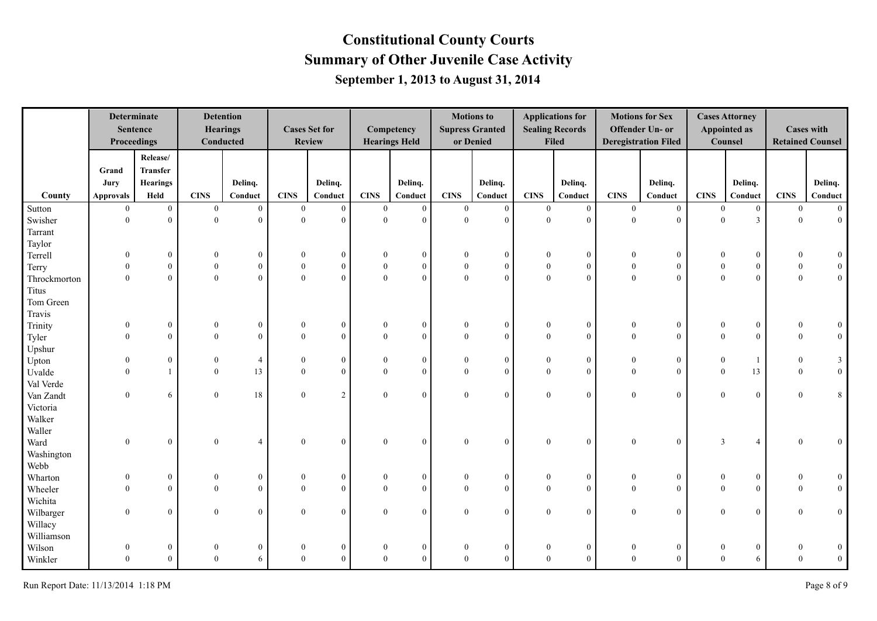|              | <b>Determinate</b><br>Proceedings | <b>Sentence</b>  |                  | <b>Detention</b><br><b>Hearings</b><br>Conducted |                | <b>Cases Set for</b><br><b>Review</b> |                  | Competency<br><b>Hearings Held</b> |                  | <b>Motions to</b><br><b>Supress Granted</b><br>or Denied |                  | <b>Applications for</b><br><b>Sealing Records</b><br><b>Filed</b> |                  | <b>Motions for Sex</b><br>Offender Un- or<br><b>Deregistration Filed</b> |                  | <b>Cases Attorney</b><br><b>Appointed as</b><br>Counsel |                  | <b>Cases with</b><br><b>Retained Counsel</b> |
|--------------|-----------------------------------|------------------|------------------|--------------------------------------------------|----------------|---------------------------------------|------------------|------------------------------------|------------------|----------------------------------------------------------|------------------|-------------------------------------------------------------------|------------------|--------------------------------------------------------------------------|------------------|---------------------------------------------------------|------------------|----------------------------------------------|
|              |                                   | Release/         |                  |                                                  |                |                                       |                  |                                    |                  |                                                          |                  |                                                                   |                  |                                                                          |                  |                                                         |                  |                                              |
|              | Grand                             | <b>Transfer</b>  |                  |                                                  |                |                                       |                  |                                    |                  |                                                          |                  |                                                                   |                  |                                                                          |                  |                                                         |                  |                                              |
|              | Jury                              | <b>Hearings</b>  |                  | Delinq.                                          |                | Delinq.                               |                  | Delinq.                            |                  | Delinq.                                                  |                  | Delinq.                                                           |                  | Delinq.                                                                  |                  | Delinq.                                                 |                  | Delinq.                                      |
| County       | <b>Approvals</b>                  | Held             | <b>CINS</b>      | Conduct                                          | <b>CINS</b>    | Conduct                               | <b>CINS</b>      | Conduct                            | <b>CINS</b>      | Conduct                                                  | <b>CINS</b>      | Conduct                                                           | <b>CINS</b>      | Conduct                                                                  | <b>CINS</b>      | Conduct                                                 | <b>CINS</b>      | $\bf Conduct$                                |
| Sutton       | $\overline{0}$                    | $\overline{0}$   | $\theta$         | $\overline{0}$                                   | $\theta$       | $\overline{0}$                        | $\mathbf{0}$     | $\mathbf{0}$                       | $\bf{0}$         | $\overline{0}$                                           | $\overline{0}$   | $\overline{0}$                                                    | $\overline{0}$   | $\overline{0}$                                                           | $\mathbf{0}$     | $\overline{0}$                                          | $\overline{0}$   | $\vert 0 \vert$                              |
| Swisher      | $\theta$                          | $\theta$         | $\Omega$         | $\theta$                                         | $\Omega$       | $\theta$                              | $\theta$         | $\overline{0}$                     | $\overline{0}$   | $\mathbf{0}$                                             | $\theta$         | $\theta$                                                          | $\overline{0}$   | $\Omega$                                                                 | $\theta$         | $\overline{\mathbf{3}}$                                 | $\theta$         | $\boldsymbol{0}$                             |
| Tarrant      |                                   |                  |                  |                                                  |                |                                       |                  |                                    |                  |                                                          |                  |                                                                   |                  |                                                                          |                  |                                                         |                  |                                              |
| Taylor       |                                   |                  |                  |                                                  |                |                                       |                  |                                    |                  |                                                          |                  |                                                                   |                  |                                                                          |                  |                                                         |                  |                                              |
| Terrell      | $\mathbf{0}$                      | $\boldsymbol{0}$ | $\overline{0}$   | $\boldsymbol{0}$                                 | 0              | $\bf{0}$                              | $\theta$         | $\overline{0}$                     | $\mathbf{0}$     | $\boldsymbol{0}$                                         | $\theta$         | $\overline{0}$                                                    | $\boldsymbol{0}$ | $\mathbf{0}$                                                             | $\mathbf{0}$     | $\boldsymbol{0}$                                        | $\theta$         | $\mathbf{0}$                                 |
| Terry        | $\theta$                          | $\boldsymbol{0}$ | $\boldsymbol{0}$ | $\boldsymbol{0}$                                 | $\overline{0}$ | $\boldsymbol{0}$                      | $\overline{0}$   | $\boldsymbol{0}$                   | $\boldsymbol{0}$ | $\mathbf{0}$                                             | $\boldsymbol{0}$ | $\overline{0}$                                                    | $\boldsymbol{0}$ | $\boldsymbol{0}$                                                         | $\mathbf{0}$     | $\boldsymbol{0}$                                        | $\boldsymbol{0}$ | $\boldsymbol{0}$                             |
| Throckmorton | $\theta$                          | $\theta$         | $\mathbf{0}$     | $\mathbf{0}$                                     | $\overline{0}$ | $\theta$                              | $\theta$         | $\mathbf{0}$                       | $\boldsymbol{0}$ | $\mathbf{0}$                                             | $\boldsymbol{0}$ | $\theta$                                                          | $\boldsymbol{0}$ | $\theta$                                                                 | $\overline{0}$   | $\mathbf{0}$                                            | $\overline{0}$   | $\boldsymbol{0}$                             |
| <b>Titus</b> |                                   |                  |                  |                                                  |                |                                       |                  |                                    |                  |                                                          |                  |                                                                   |                  |                                                                          |                  |                                                         |                  |                                              |
| Tom Green    |                                   |                  |                  |                                                  |                |                                       |                  |                                    |                  |                                                          |                  |                                                                   |                  |                                                                          |                  |                                                         |                  |                                              |
| Travis       |                                   |                  |                  |                                                  |                |                                       |                  |                                    |                  |                                                          |                  |                                                                   |                  |                                                                          |                  |                                                         |                  |                                              |
| Trinity      | $\theta$                          | $\boldsymbol{0}$ | $\Omega$         | $\mathbf{0}$                                     | $\Omega$       | $\bf{0}$                              | $\theta$         | $\boldsymbol{0}$                   | $\mathbf{0}$     | $\boldsymbol{0}$                                         | $\theta$         | $\overline{0}$                                                    | $\boldsymbol{0}$ | $\boldsymbol{0}$                                                         | $\Omega$         | $\boldsymbol{0}$                                        | $\mathbf{0}$     | $\boldsymbol{0}$                             |
| Tyler        | $\Omega$                          | $\theta$         | $\Omega$         | $\theta$                                         | $\Omega$       | $\theta$                              | $\theta$         | $\overline{0}$                     | $\theta$         | $\theta$                                                 | $\theta$         | $\theta$                                                          | $\theta$         | $\Omega$                                                                 | $\Omega$         | $\theta$                                                | $\Omega$         | $\mathbf{0}$                                 |
| Upshur       |                                   |                  |                  |                                                  |                |                                       |                  |                                    |                  |                                                          |                  |                                                                   |                  |                                                                          |                  |                                                         |                  |                                              |
| Upton        | $\mathbf{0}$                      | $\mathbf{0}$     | $\boldsymbol{0}$ | $\overline{4}$                                   | $\mathbf{0}$   | $\mathbf{0}$                          | $\boldsymbol{0}$ | $\overline{0}$                     | $\mathbf{0}$     | $\mathbf{0}$                                             | $\boldsymbol{0}$ | $\overline{0}$                                                    | $\boldsymbol{0}$ | $\mathbf{0}$                                                             | $\boldsymbol{0}$ | -1                                                      | $\mathbf{0}$     | $\mathbf{3}$                                 |
| Uvalde       | $\Omega$                          |                  | $\theta$         | 13                                               | $\theta$       | $\theta$                              | $\theta$         | $\overline{0}$                     | $\theta$         | $\theta$                                                 | $\theta$         | $\theta$                                                          | $\mathbf{0}$     | $\theta$                                                                 | $\theta$         | 13                                                      | $\theta$         | $\mathbf{0}$                                 |
| Val Verde    |                                   |                  |                  |                                                  |                |                                       |                  |                                    |                  |                                                          |                  |                                                                   |                  |                                                                          |                  |                                                         |                  |                                              |
| Van Zandt    | $\overline{0}$                    | 6                | $\theta$         | 18                                               | $\overline{0}$ | $\overline{2}$                        | $\mathbf{0}$     | $\boldsymbol{0}$                   | $\overline{0}$   | $\mathbf{0}$                                             | $\mathbf{0}$     | $\overline{0}$                                                    | $\mathbf{0}$     | $\boldsymbol{0}$                                                         | $\mathbf{0}$     | $\mathbf{0}$                                            | $\theta$         | $\,8$                                        |
| Victoria     |                                   |                  |                  |                                                  |                |                                       |                  |                                    |                  |                                                          |                  |                                                                   |                  |                                                                          |                  |                                                         |                  |                                              |
| Walker       |                                   |                  |                  |                                                  |                |                                       |                  |                                    |                  |                                                          |                  |                                                                   |                  |                                                                          |                  |                                                         |                  |                                              |
| Waller       |                                   |                  |                  |                                                  |                |                                       |                  |                                    |                  |                                                          |                  |                                                                   |                  |                                                                          |                  |                                                         |                  |                                              |
| Ward         | $\overline{0}$                    | $\mathbf{0}$     | $\mathbf{0}$     | $\overline{4}$                                   | $\overline{0}$ | $\mathbf{0}$                          | $\theta$         | $\overline{0}$                     | $\overline{0}$   | $\theta$                                                 | $\mathbf{0}$     | $\overline{0}$                                                    | $\mathbf{0}$     | $\overline{0}$                                                           | $\overline{3}$   | $\overline{4}$                                          | $\Omega$         | $\bf{0}$                                     |
| Washington   |                                   |                  |                  |                                                  |                |                                       |                  |                                    |                  |                                                          |                  |                                                                   |                  |                                                                          |                  |                                                         |                  |                                              |
| Webb         |                                   |                  |                  |                                                  |                |                                       |                  |                                    |                  |                                                          |                  |                                                                   |                  |                                                                          |                  |                                                         |                  |                                              |
| Wharton      | $\mathbf{0}$                      | $\boldsymbol{0}$ | $\boldsymbol{0}$ | $\mathbf{0}$                                     | $\overline{0}$ | $\boldsymbol{0}$                      | $\theta$         | $\overline{0}$                     | $\mathbf{0}$     | $\boldsymbol{0}$                                         | $\theta$         | $\overline{0}$                                                    | $\boldsymbol{0}$ | $\boldsymbol{0}$                                                         | $\mathbf{0}$     | $\boldsymbol{0}$                                        | $\theta$         | $\boldsymbol{0}$                             |
| Wheeler      | $\overline{0}$                    | $\theta$         | $\theta$         | $\overline{0}$                                   | $\theta$       | $\theta$                              | $\mathbf{0}$     | $\mathbf{0}$                       | $\mathbf{0}$     | $\mathbf{0}$                                             | $\mathbf{0}$     | $\overline{0}$                                                    | $\mathbf{0}$     | $\overline{0}$                                                           | $\overline{0}$   | $\mathbf{0}$                                            | $\overline{0}$   | $\boldsymbol{0}$                             |
| Wichita      |                                   |                  |                  |                                                  |                |                                       |                  |                                    |                  |                                                          |                  |                                                                   |                  |                                                                          |                  |                                                         |                  |                                              |
| Wilbarger    | $\overline{0}$                    | $\mathbf{0}$     | $\theta$         | $\overline{0}$                                   | $\overline{0}$ | $\theta$                              | $\mathbf{0}$     | $\overline{0}$                     | $\boldsymbol{0}$ | $\mathbf{0}$                                             | $\mathbf{0}$     | $\overline{0}$                                                    | $\mathbf{0}$     | $\boldsymbol{0}$                                                         | $\mathbf{0}$     | $\mathbf{0}$                                            | $\theta$         | $\mathbf{0}$                                 |
| Willacy      |                                   |                  |                  |                                                  |                |                                       |                  |                                    |                  |                                                          |                  |                                                                   |                  |                                                                          |                  |                                                         |                  |                                              |
| Williamson   |                                   |                  |                  |                                                  |                |                                       |                  |                                    |                  |                                                          |                  |                                                                   |                  |                                                                          |                  |                                                         |                  |                                              |
| Wilson       | $\boldsymbol{0}$                  | $\theta$         | $\boldsymbol{0}$ | $\mathbf{0}$                                     | $\mathbf{0}$   | $\Omega$                              | $\mathbf{0}$     | $\overline{0}$                     | $\mathbf{0}$     | $\boldsymbol{0}$                                         | $\boldsymbol{0}$ | $\overline{0}$                                                    | $\boldsymbol{0}$ | $\mathbf{0}$                                                             | $\mathbf{0}$     | $\bf{0}$                                                | $\mathbf{0}$     | $\boldsymbol{0}$                             |
| Winkler      | $\theta$                          | $\mathbf{0}$     | $\Omega$         | 6                                                | $\theta$       | $\Omega$                              | $\Omega$         | $\overline{0}$                     | $\theta$         | $\theta$                                                 | $\theta$         | $\Omega$                                                          | $\mathbf{0}$     | $\theta$                                                                 | $\theta$         | 6                                                       | $\Omega$         | $\boldsymbol{0}$                             |